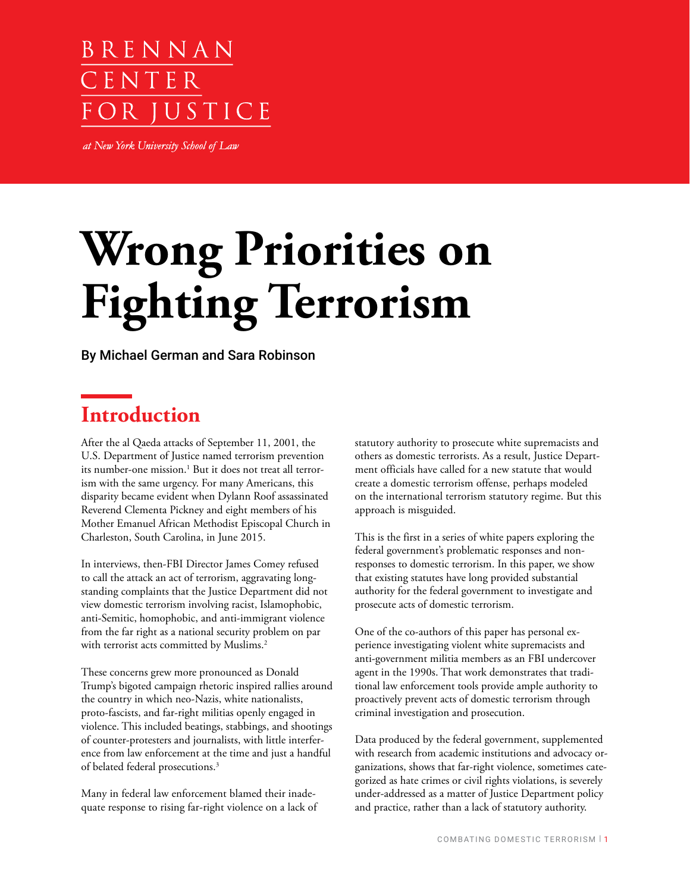# BRENNAN CENTER IUSTICE

at New York University School of Law

# **Wrong Priorities on Fighting Terrorism**

By Michael German and Sara Robinson

# **Introduction**

After the al Qaeda attacks of September 11, 2001, the U.S. Department of Justice named terrorism prevention its number-one mission.<sup>1</sup> But it does not treat all terrorism with the same urgency. For many Americans, this disparity became evident when Dylann Roof assassinated Reverend Clementa Pickney and eight members of his Mother Emanuel African Methodist Episcopal Church in Charleston, South Carolina, in June 2015.

In interviews, then-FBI Director James Comey refused to call the attack an act of terrorism, aggravating longstanding complaints that the Justice Department did not view domestic terrorism involving racist, Islamophobic, anti-Semitic, homophobic, and anti-immigrant violence from the far right as a national security problem on par with terrorist acts committed by Muslims.<sup>2</sup>

These concerns grew more pronounced as Donald Trump's bigoted campaign rhetoric inspired rallies around the country in which neo-Nazis, white nationalists, proto-fascists, and far-right militias openly engaged in violence. This included beatings, stabbings, and shootings of counter-protesters and journalists, with little interference from law enforcement at the time and just a handful of belated federal prosecutions.3

Many in federal law enforcement blamed their inadequate response to rising far-right violence on a lack of statutory authority to prosecute white supremacists and others as domestic terrorists. As a result, Justice Department officials have called for a new statute that would create a domestic terrorism offense, perhaps modeled on the international terrorism statutory regime. But this approach is misguided.

This is the first in a series of white papers exploring the federal government's problematic responses and nonresponses to domestic terrorism. In this paper, we show that existing statutes have long provided substantial authority for the federal government to investigate and prosecute acts of domestic terrorism.

One of the co-authors of this paper has personal experience investigating violent white supremacists and anti-government militia members as an FBI undercover agent in the 1990s. That work demonstrates that traditional law enforcement tools provide ample authority to proactively prevent acts of domestic terrorism through criminal investigation and prosecution.

Data produced by the federal government, supplemented with research from academic institutions and advocacy organizations, shows that far-right violence, sometimes categorized as hate crimes or civil rights violations, is severely under-addressed as a matter of Justice Department policy and practice, rather than a lack of statutory authority.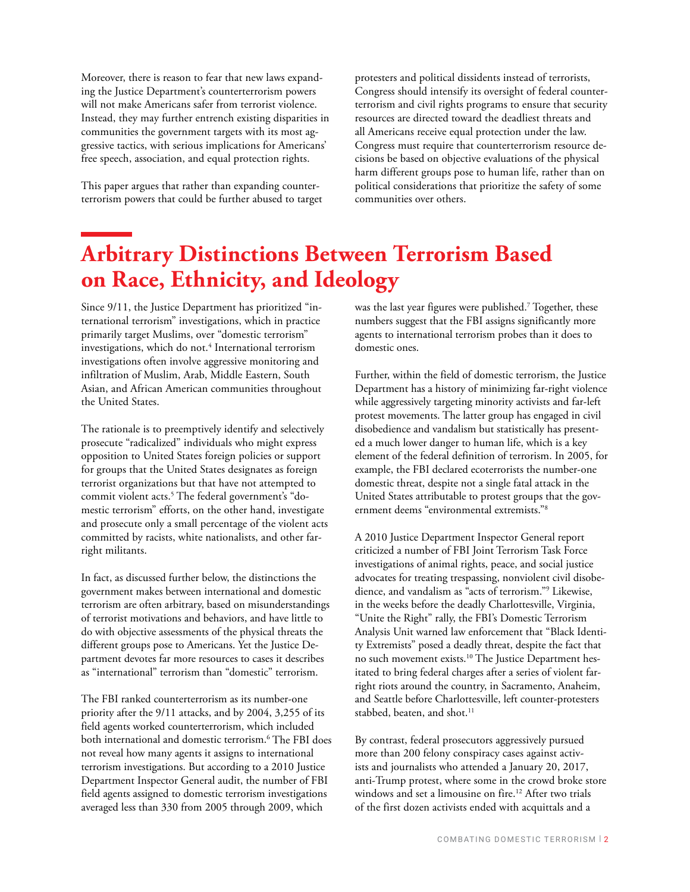Moreover, there is reason to fear that new laws expanding the Justice Department's counterterrorism powers will not make Americans safer from terrorist violence. Instead, they may further entrench existing disparities in communities the government targets with its most aggressive tactics, with serious implications for Americans' free speech, association, and equal protection rights.

This paper argues that rather than expanding counterterrorism powers that could be further abused to target protesters and political dissidents instead of terrorists, Congress should intensify its oversight of federal counterterrorism and civil rights programs to ensure that security resources are directed toward the deadliest threats and all Americans receive equal protection under the law. Congress must require that counterterrorism resource decisions be based on objective evaluations of the physical harm different groups pose to human life, rather than on political considerations that prioritize the safety of some communities over others.

# **Arbitrary Distinctions Between Terrorism Based on Race, Ethnicity, and Ideology**

Since 9/11, the Justice Department has prioritized "international terrorism" investigations, which in practice primarily target Muslims, over "domestic terrorism" investigations, which do not.4 International terrorism investigations often involve aggressive monitoring and infiltration of Muslim, Arab, Middle Eastern, South Asian, and African American communities throughout the United States.

The rationale is to preemptively identify and selectively prosecute "radicalized" individuals who might express opposition to United States foreign policies or support for groups that the United States designates as foreign terrorist organizations but that have not attempted to commit violent acts.5 The federal government's "domestic terrorism" efforts, on the other hand, investigate and prosecute only a small percentage of the violent acts committed by racists, white nationalists, and other farright militants.

In fact, as discussed further below, the distinctions the government makes between international and domestic terrorism are often arbitrary, based on misunderstandings of terrorist motivations and behaviors, and have little to do with objective assessments of the physical threats the different groups pose to Americans. Yet the Justice Department devotes far more resources to cases it describes as "international" terrorism than "domestic" terrorism.

The FBI ranked counterterrorism as its number-one priority after the 9/11 attacks, and by 2004, 3,255 of its field agents worked counterterrorism, which included both international and domestic terrorism.6 The FBI does not reveal how many agents it assigns to international terrorism investigations. But according to a 2010 Justice Department Inspector General audit, the number of FBI field agents assigned to domestic terrorism investigations averaged less than 330 from 2005 through 2009, which

was the last year figures were published.7 Together, these numbers suggest that the FBI assigns significantly more agents to international terrorism probes than it does to domestic ones.

Further, within the field of domestic terrorism, the Justice Department has a history of minimizing far-right violence while aggressively targeting minority activists and far-left protest movements. The latter group has engaged in civil disobedience and vandalism but statistically has presented a much lower danger to human life, which is a key element of the federal definition of terrorism. In 2005, for example, the FBI declared ecoterrorists the number-one domestic threat, despite not a single fatal attack in the United States attributable to protest groups that the government deems "environmental extremists."8

A 2010 Justice Department Inspector General report criticized a number of FBI Joint Terrorism Task Force investigations of animal rights, peace, and social justice advocates for treating trespassing, nonviolent civil disobedience, and vandalism as "acts of terrorism."9 Likewise, in the weeks before the deadly Charlottesville, Virginia, "Unite the Right" rally, the FBI's Domestic Terrorism Analysis Unit warned law enforcement that "Black Identity Extremists" posed a deadly threat, despite the fact that no such movement exists.10 The Justice Department hesitated to bring federal charges after a series of violent farright riots around the country, in Sacramento, Anaheim, and Seattle before Charlottesville, left counter-protesters stabbed, beaten, and shot.<sup>11</sup>

By contrast, federal prosecutors aggressively pursued more than 200 felony conspiracy cases against activists and journalists who attended a January 20, 2017, anti-Trump protest, where some in the crowd broke store windows and set a limousine on fire.<sup>12</sup> After two trials of the first dozen activists ended with acquittals and a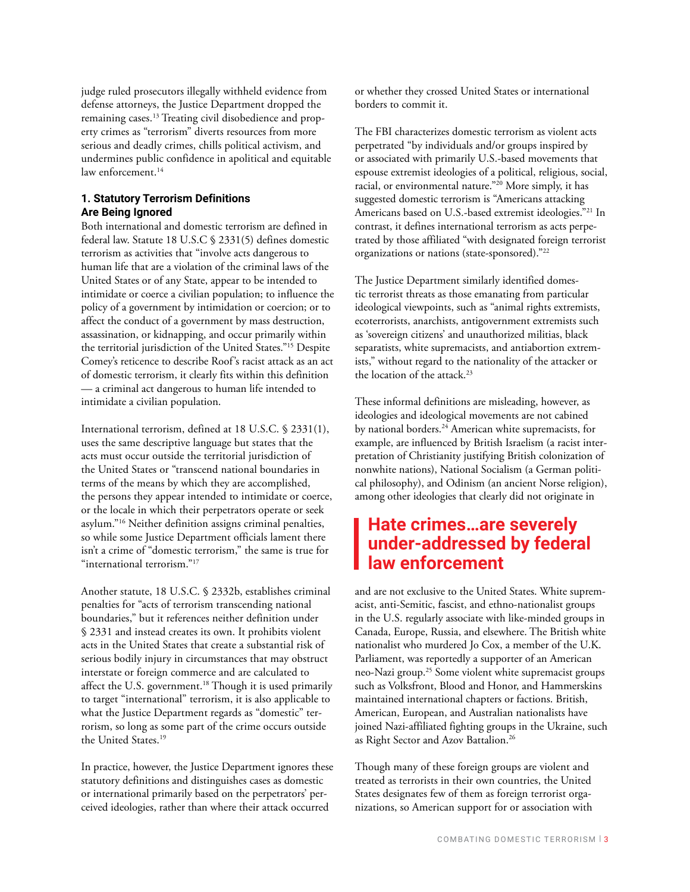judge ruled prosecutors illegally withheld evidence from defense attorneys, the Justice Department dropped the remaining cases.13 Treating civil disobedience and property crimes as "terrorism" diverts resources from more serious and deadly crimes, chills political activism, and undermines public confidence in apolitical and equitable law enforcement.<sup>14</sup>

#### **1. Statutory Terrorism Definitions Are Being Ignored**

Both international and domestic terrorism are defined in federal law. Statute 18 U.S.C § 2331(5) defines domestic terrorism as activities that "involve acts dangerous to human life that are a violation of the criminal laws of the United States or of any State, appear to be intended to intimidate or coerce a civilian population; to influence the policy of a government by intimidation or coercion; or to affect the conduct of a government by mass destruction, assassination, or kidnapping, and occur primarily within the territorial jurisdiction of the United States."15 Despite Comey's reticence to describe Roof's racist attack as an act of domestic terrorism, it clearly fits within this definition — a criminal act dangerous to human life intended to intimidate a civilian population.

International terrorism, defined at 18 U.S.C. § 2331(1), uses the same descriptive language but states that the acts must occur outside the territorial jurisdiction of the United States or "transcend national boundaries in terms of the means by which they are accomplished, the persons they appear intended to intimidate or coerce, or the locale in which their perpetrators operate or seek asylum."16 Neither definition assigns criminal penalties, so while some Justice Department officials lament there isn't a crime of "domestic terrorism," the same is true for "international terrorism."<sup>17</sup>

Another statute, 18 U.S.C. § 2332b, establishes criminal penalties for "acts of terrorism transcending national boundaries," but it references neither definition under § 2331 and instead creates its own. It prohibits violent acts in the United States that create a substantial risk of serious bodily injury in circumstances that may obstruct interstate or foreign commerce and are calculated to affect the U.S. government.<sup>18</sup> Though it is used primarily to target "international" terrorism, it is also applicable to what the Justice Department regards as "domestic" terrorism, so long as some part of the crime occurs outside the United States.<sup>19</sup>

In practice, however, the Justice Department ignores these statutory definitions and distinguishes cases as domestic or international primarily based on the perpetrators' perceived ideologies, rather than where their attack occurred

or whether they crossed United States or international borders to commit it.

The FBI characterizes domestic terrorism as violent acts perpetrated "by individuals and/or groups inspired by or associated with primarily U.S.-based movements that espouse extremist ideologies of a political, religious, social, racial, or environmental nature."20 More simply, it has suggested domestic terrorism is "Americans attacking Americans based on U.S.-based extremist ideologies."21 In contrast, it defines international terrorism as acts perpetrated by those affiliated "with designated foreign terrorist organizations or nations (state-sponsored)."22

The Justice Department similarly identified domestic terrorist threats as those emanating from particular ideological viewpoints, such as "animal rights extremists, ecoterrorists, anarchists, antigovernment extremists such as 'sovereign citizens' and unauthorized militias, black separatists, white supremacists, and antiabortion extremists," without regard to the nationality of the attacker or the location of the attack.<sup>23</sup>

These informal definitions are misleading, however, as ideologies and ideological movements are not cabined by national borders.<sup>24</sup> American white supremacists, for example, are influenced by British Israelism (a racist interpretation of Christianity justifying British colonization of nonwhite nations), National Socialism (a German political philosophy), and Odinism (an ancient Norse religion), among other ideologies that clearly did not originate in

# **Hate crimes…are severely under-addressed by federal law enforcement**

and are not exclusive to the United States. White supremacist, anti-Semitic, fascist, and ethno-nationalist groups in the U.S. regularly associate with like-minded groups in Canada, Europe, Russia, and elsewhere. The British white nationalist who murdered Jo Cox, a member of the U.K. Parliament, was reportedly a supporter of an American neo-Nazi group.25 Some violent white supremacist groups such as Volksfront, Blood and Honor, and Hammerskins maintained international chapters or factions. British, American, European, and Australian nationalists have joined Nazi-affiliated fighting groups in the Ukraine, such as Right Sector and Azov Battalion.26

Though many of these foreign groups are violent and treated as terrorists in their own countries, the United States designates few of them as foreign terrorist organizations, so American support for or association with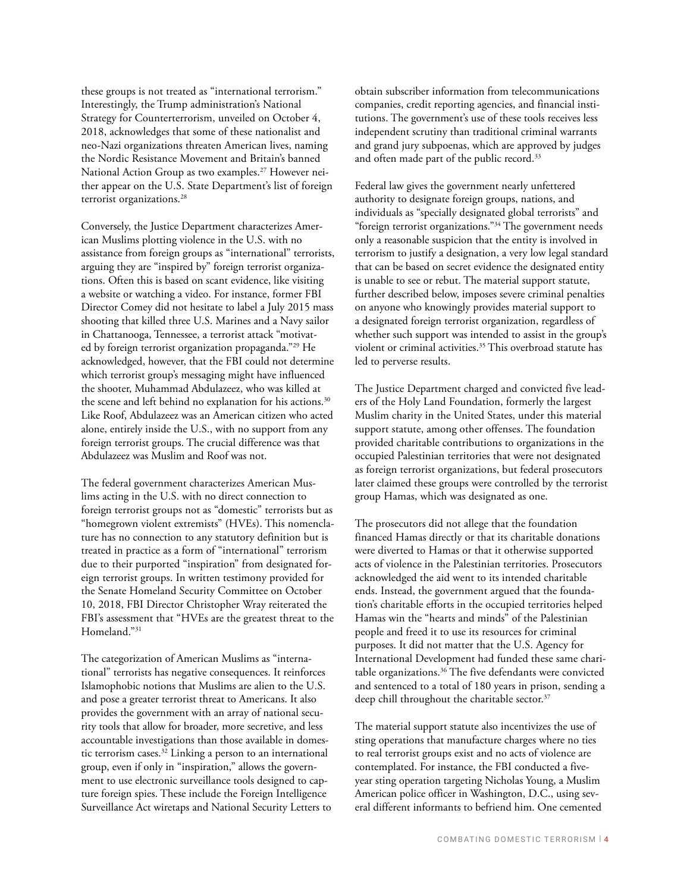these groups is not treated as "international terrorism." Interestingly, the Trump administration's National Strategy for Counterterrorism, unveiled on October 4, 2018, acknowledges that some of these nationalist and neo-Nazi organizations threaten American lives, naming the Nordic Resistance Movement and Britain's banned National Action Group as two examples.<sup>27</sup> However neither appear on the U.S. State Department's list of foreign terrorist organizations.<sup>28</sup>

Conversely, the Justice Department characterizes American Muslims plotting violence in the U.S. with no assistance from foreign groups as "international" terrorists, arguing they are "inspired by" foreign terrorist organizations. Often this is based on scant evidence, like visiting a website or watching a video. For instance, former FBI Director Comey did not hesitate to label a July 2015 mass shooting that killed three U.S. Marines and a Navy sailor in Chattanooga, Tennessee, a terrorist attack "motivated by foreign terrorist organization propaganda."29 He acknowledged, however, that the FBI could not determine which terrorist group's messaging might have influenced the shooter, Muhammad Abdulazeez, who was killed at the scene and left behind no explanation for his actions.<sup>30</sup> Like Roof, Abdulazeez was an American citizen who acted alone, entirely inside the U.S., with no support from any foreign terrorist groups. The crucial difference was that Abdulazeez was Muslim and Roof was not.

The federal government characterizes American Muslims acting in the U.S. with no direct connection to foreign terrorist groups not as "domestic" terrorists but as "homegrown violent extremists" (HVEs). This nomenclature has no connection to any statutory definition but is treated in practice as a form of "international" terrorism due to their purported "inspiration" from designated foreign terrorist groups. In written testimony provided for the Senate Homeland Security Committee on October 10, 2018, FBI Director Christopher Wray reiterated the FBI's assessment that "HVEs are the greatest threat to the Homeland."31

The categorization of American Muslims as "international" terrorists has negative consequences. It reinforces Islamophobic notions that Muslims are alien to the U.S. and pose a greater terrorist threat to Americans. It also provides the government with an array of national security tools that allow for broader, more secretive, and less accountable investigations than those available in domestic terrorism cases.<sup>32</sup> Linking a person to an international group, even if only in "inspiration," allows the government to use electronic surveillance tools designed to capture foreign spies. These include the Foreign Intelligence Surveillance Act wiretaps and National Security Letters to obtain subscriber information from telecommunications companies, credit reporting agencies, and financial institutions. The government's use of these tools receives less independent scrutiny than traditional criminal warrants and grand jury subpoenas, which are approved by judges and often made part of the public record.<sup>33</sup>

Federal law gives the government nearly unfettered authority to designate foreign groups, nations, and individuals as "specially designated global terrorists" and "foreign terrorist organizations."34 The government needs only a reasonable suspicion that the entity is involved in terrorism to justify a designation, a very low legal standard that can be based on secret evidence the designated entity is unable to see or rebut. The material support statute, further described below, imposes severe criminal penalties on anyone who knowingly provides material support to a designated foreign terrorist organization, regardless of whether such support was intended to assist in the group's violent or criminal activities.<sup>35</sup> This overbroad statute has led to perverse results.

The Justice Department charged and convicted five leaders of the Holy Land Foundation, formerly the largest Muslim charity in the United States, under this material support statute, among other offenses. The foundation provided charitable contributions to organizations in the occupied Palestinian territories that were not designated as foreign terrorist organizations, but federal prosecutors later claimed these groups were controlled by the terrorist group Hamas, which was designated as one.

The prosecutors did not allege that the foundation financed Hamas directly or that its charitable donations were diverted to Hamas or that it otherwise supported acts of violence in the Palestinian territories. Prosecutors acknowledged the aid went to its intended charitable ends. Instead, the government argued that the foundation's charitable efforts in the occupied territories helped Hamas win the "hearts and minds" of the Palestinian people and freed it to use its resources for criminal purposes. It did not matter that the U.S. Agency for International Development had funded these same charitable organizations.36 The five defendants were convicted and sentenced to a total of 180 years in prison, sending a deep chill throughout the charitable sector.<sup>37</sup>

The material support statute also incentivizes the use of sting operations that manufacture charges where no ties to real terrorist groups exist and no acts of violence are contemplated. For instance, the FBI conducted a fiveyear sting operation targeting Nicholas Young, a Muslim American police officer in Washington, D.C., using several different informants to befriend him. One cemented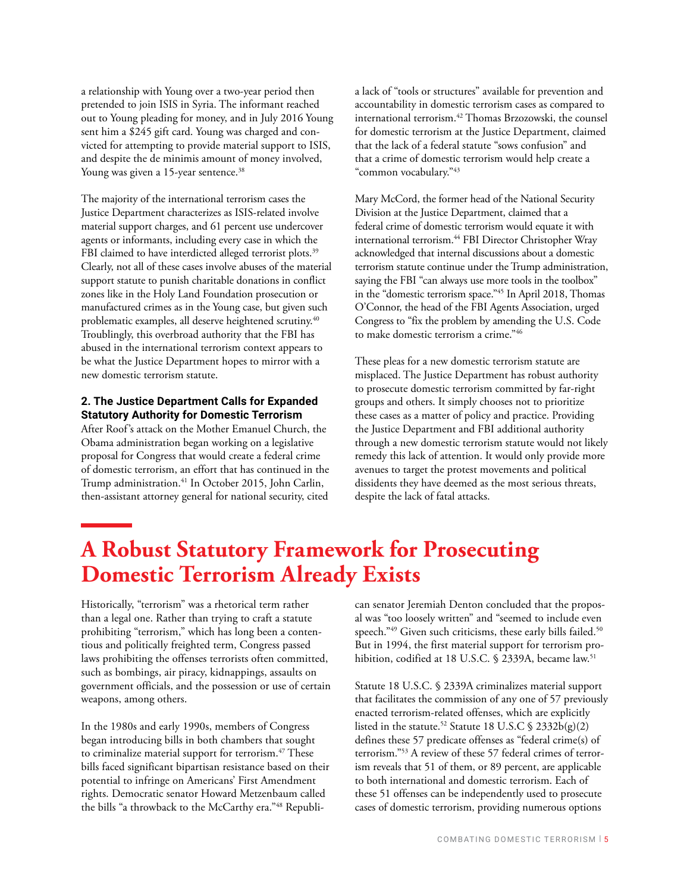a relationship with Young over a two-year period then pretended to join ISIS in Syria. The informant reached out to Young pleading for money, and in July 2016 Young sent him a \$245 gift card. Young was charged and convicted for attempting to provide material support to ISIS, and despite the de minimis amount of money involved, Young was given a 15-year sentence.<sup>38</sup>

The majority of the international terrorism cases the Justice Department characterizes as ISIS-related involve material support charges, and 61 percent use undercover agents or informants, including every case in which the FBI claimed to have interdicted alleged terrorist plots.<sup>39</sup> Clearly, not all of these cases involve abuses of the material support statute to punish charitable donations in conflict zones like in the Holy Land Foundation prosecution or manufactured crimes as in the Young case, but given such problematic examples, all deserve heightened scrutiny.40 Troublingly, this overbroad authority that the FBI has abused in the international terrorism context appears to be what the Justice Department hopes to mirror with a new domestic terrorism statute.

#### **2. The Justice Department Calls for Expanded Statutory Authority for Domestic Terrorism**

After Roof's attack on the Mother Emanuel Church, the Obama administration began working on a legislative proposal for Congress that would create a federal crime of domestic terrorism, an effort that has continued in the Trump administration.<sup>41</sup> In October 2015, John Carlin, then-assistant attorney general for national security, cited

a lack of "tools or structures" available for prevention and accountability in domestic terrorism cases as compared to international terrorism.42 Thomas Brzozowski, the counsel for domestic terrorism at the Justice Department, claimed that the lack of a federal statute "sows confusion" and that a crime of domestic terrorism would help create a "common vocabulary."43

Mary McCord, the former head of the National Security Division at the Justice Department, claimed that a federal crime of domestic terrorism would equate it with international terrorism.44 FBI Director Christopher Wray acknowledged that internal discussions about a domestic terrorism statute continue under the Trump administration, saying the FBI "can always use more tools in the toolbox" in the "domestic terrorism space."45 In April 2018, Thomas O'Connor, the head of the FBI Agents Association, urged Congress to "fix the problem by amending the U.S. Code to make domestic terrorism a crime."46

These pleas for a new domestic terrorism statute are misplaced. The Justice Department has robust authority to prosecute domestic terrorism committed by far-right groups and others. It simply chooses not to prioritize these cases as a matter of policy and practice. Providing the Justice Department and FBI additional authority through a new domestic terrorism statute would not likely remedy this lack of attention. It would only provide more avenues to target the protest movements and political dissidents they have deemed as the most serious threats, despite the lack of fatal attacks.

# **A Robust Statutory Framework for Prosecuting Domestic Terrorism Already Exists**

Historically, "terrorism" was a rhetorical term rather than a legal one. Rather than trying to craft a statute prohibiting "terrorism," which has long been a contentious and politically freighted term, Congress passed laws prohibiting the offenses terrorists often committed, such as bombings, air piracy, kidnappings, assaults on government officials, and the possession or use of certain weapons, among others.

In the 1980s and early 1990s, members of Congress began introducing bills in both chambers that sought to criminalize material support for terrorism.<sup>47</sup> These bills faced significant bipartisan resistance based on their potential to infringe on Americans' First Amendment rights. Democratic senator Howard Metzenbaum called the bills "a throwback to the McCarthy era."48 Republican senator Jeremiah Denton concluded that the proposal was "too loosely written" and "seemed to include even speech."<sup>49</sup> Given such criticisms, these early bills failed.<sup>50</sup> But in 1994, the first material support for terrorism prohibition, codified at 18 U.S.C. § 2339A, became law.<sup>51</sup>

Statute 18 U.S.C. § 2339A criminalizes material support that facilitates the commission of any one of 57 previously enacted terrorism-related offenses, which are explicitly listed in the statute.<sup>52</sup> Statute 18 U.S.C  $\frac{6}{2}$  2332b(g)(2) defines these 57 predicate offenses as "federal crime(s) of terrorism."53 A review of these 57 federal crimes of terrorism reveals that 51 of them, or 89 percent, are applicable to both international and domestic terrorism. Each of these 51 offenses can be independently used to prosecute cases of domestic terrorism, providing numerous options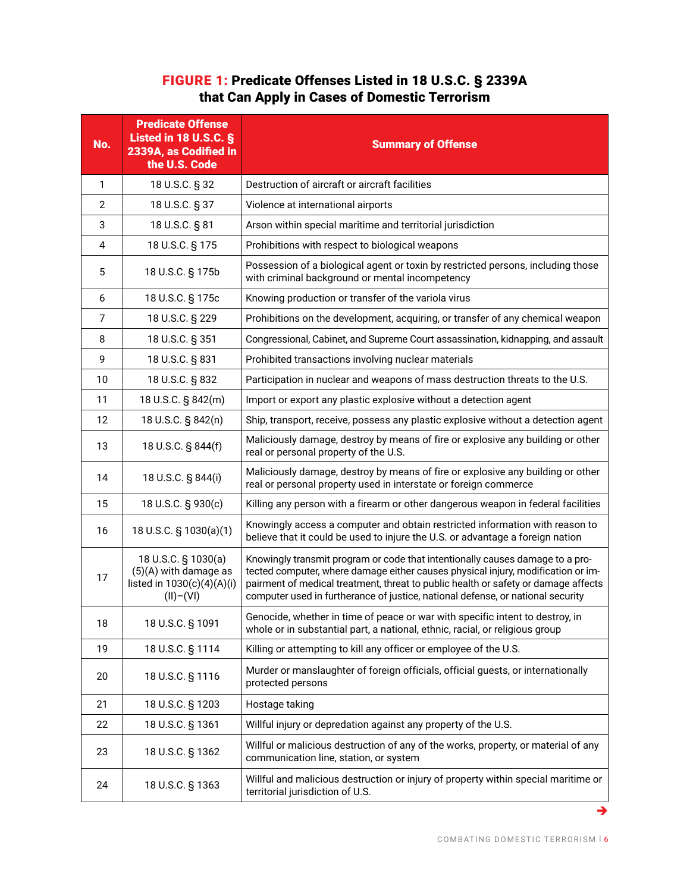# FIGURE 1: Predicate Offenses Listed in 18 U.S.C. § 2339A that Can Apply in Cases of Domestic Terrorism

| No.            | <b>Predicate Offense</b><br><b>Listed in 18 U.S.C. §</b><br>2339A, as Codified in<br>the U.S. Code | <b>Summary of Offense</b>                                                                                                                                                                                                                                                                                                                  |  |
|----------------|----------------------------------------------------------------------------------------------------|--------------------------------------------------------------------------------------------------------------------------------------------------------------------------------------------------------------------------------------------------------------------------------------------------------------------------------------------|--|
| 1              | 18 U.S.C. § 32                                                                                     | Destruction of aircraft or aircraft facilities                                                                                                                                                                                                                                                                                             |  |
| 2              | 18 U.S.C. § 37                                                                                     | Violence at international airports                                                                                                                                                                                                                                                                                                         |  |
| 3              | 18 U.S.C. § 81                                                                                     | Arson within special maritime and territorial jurisdiction                                                                                                                                                                                                                                                                                 |  |
| $\overline{4}$ | 18 U.S.C. § 175                                                                                    | Prohibitions with respect to biological weapons                                                                                                                                                                                                                                                                                            |  |
| 5              | 18 U.S.C. § 175b                                                                                   | Possession of a biological agent or toxin by restricted persons, including those<br>with criminal background or mental incompetency                                                                                                                                                                                                        |  |
| 6              | 18 U.S.C. § 175c                                                                                   | Knowing production or transfer of the variola virus                                                                                                                                                                                                                                                                                        |  |
| 7              | 18 U.S.C. § 229                                                                                    | Prohibitions on the development, acquiring, or transfer of any chemical weapon                                                                                                                                                                                                                                                             |  |
| 8              | 18 U.S.C. § 351                                                                                    | Congressional, Cabinet, and Supreme Court assassination, kidnapping, and assault                                                                                                                                                                                                                                                           |  |
| 9              | 18 U.S.C. § 831                                                                                    | Prohibited transactions involving nuclear materials                                                                                                                                                                                                                                                                                        |  |
| 10             | 18 U.S.C. § 832                                                                                    | Participation in nuclear and weapons of mass destruction threats to the U.S.                                                                                                                                                                                                                                                               |  |
| 11             | 18 U.S.C. § 842(m)                                                                                 | Import or export any plastic explosive without a detection agent                                                                                                                                                                                                                                                                           |  |
| 12             | 18 U.S.C. § 842(n)                                                                                 | Ship, transport, receive, possess any plastic explosive without a detection agent                                                                                                                                                                                                                                                          |  |
| 13             | 18 U.S.C. § 844(f)                                                                                 | Maliciously damage, destroy by means of fire or explosive any building or other<br>real or personal property of the U.S.                                                                                                                                                                                                                   |  |
| 14             | 18 U.S.C. § 844(i)                                                                                 | Maliciously damage, destroy by means of fire or explosive any building or other<br>real or personal property used in interstate or foreign commerce                                                                                                                                                                                        |  |
| 15             | 18 U.S.C. § 930(c)                                                                                 | Killing any person with a firearm or other dangerous weapon in federal facilities                                                                                                                                                                                                                                                          |  |
| 16             | 18 U.S.C. § 1030(a)(1)                                                                             | Knowingly access a computer and obtain restricted information with reason to<br>believe that it could be used to injure the U.S. or advantage a foreign nation                                                                                                                                                                             |  |
| 17             | 18 U.S.C. § 1030(a)<br>(5)(A) with damage as<br>listed in 1030(c)(4)(A)(i)<br>$(II)-(VI)$          | Knowingly transmit program or code that intentionally causes damage to a pro-<br>tected computer, where damage either causes physical injury, modification or im-<br>pairment of medical treatment, threat to public health or safety or damage affects<br>computer used in furtherance of justice, national defense, or national security |  |
| 18             | 18 U.S.C. § 1091                                                                                   | Genocide, whether in time of peace or war with specific intent to destroy, in<br>whole or in substantial part, a national, ethnic, racial, or religious group                                                                                                                                                                              |  |
| 19             | 18 U.S.C. § 1114                                                                                   | Killing or attempting to kill any officer or employee of the U.S.                                                                                                                                                                                                                                                                          |  |
| 20             | 18 U.S.C. § 1116                                                                                   | Murder or manslaughter of foreign officials, official guests, or internationally<br>protected persons                                                                                                                                                                                                                                      |  |
| 21             | 18 U.S.C. § 1203                                                                                   | Hostage taking                                                                                                                                                                                                                                                                                                                             |  |
| 22             | 18 U.S.C. § 1361                                                                                   | Willful injury or depredation against any property of the U.S.                                                                                                                                                                                                                                                                             |  |
| 23             | 18 U.S.C. § 1362                                                                                   | Willful or malicious destruction of any of the works, property, or material of any<br>communication line, station, or system                                                                                                                                                                                                               |  |
| 24             | 18 U.S.C. § 1363                                                                                   | Willful and malicious destruction or injury of property within special maritime or<br>territorial jurisdiction of U.S.                                                                                                                                                                                                                     |  |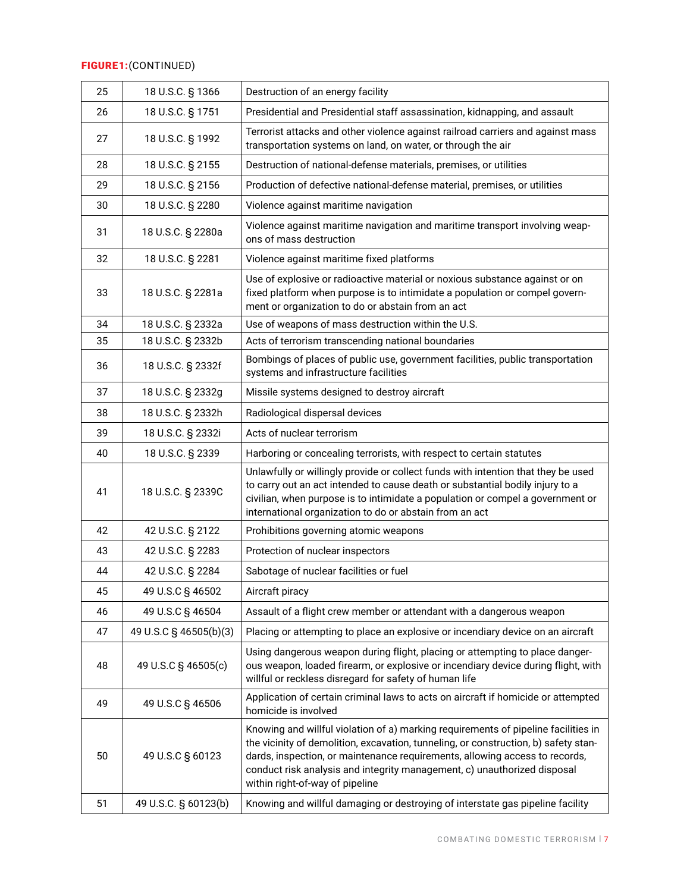## FIGURE 1:(CONTINUED)

| 25 | 18 U.S.C. § 1366       | Destruction of an energy facility                                                                                                                                                                                                                                                                                                                                       |  |
|----|------------------------|-------------------------------------------------------------------------------------------------------------------------------------------------------------------------------------------------------------------------------------------------------------------------------------------------------------------------------------------------------------------------|--|
| 26 | 18 U.S.C. § 1751       | Presidential and Presidential staff assassination, kidnapping, and assault                                                                                                                                                                                                                                                                                              |  |
| 27 | 18 U.S.C. § 1992       | Terrorist attacks and other violence against railroad carriers and against mass<br>transportation systems on land, on water, or through the air                                                                                                                                                                                                                         |  |
| 28 | 18 U.S.C. § 2155       | Destruction of national-defense materials, premises, or utilities                                                                                                                                                                                                                                                                                                       |  |
| 29 | 18 U.S.C. § 2156       | Production of defective national-defense material, premises, or utilities                                                                                                                                                                                                                                                                                               |  |
| 30 | 18 U.S.C. § 2280       | Violence against maritime navigation                                                                                                                                                                                                                                                                                                                                    |  |
| 31 | 18 U.S.C. § 2280a      | Violence against maritime navigation and maritime transport involving weap-<br>ons of mass destruction                                                                                                                                                                                                                                                                  |  |
| 32 | 18 U.S.C. § 2281       | Violence against maritime fixed platforms                                                                                                                                                                                                                                                                                                                               |  |
| 33 | 18 U.S.C. § 2281a      | Use of explosive or radioactive material or noxious substance against or on<br>fixed platform when purpose is to intimidate a population or compel govern-<br>ment or organization to do or abstain from an act                                                                                                                                                         |  |
| 34 | 18 U.S.C. § 2332a      | Use of weapons of mass destruction within the U.S.                                                                                                                                                                                                                                                                                                                      |  |
| 35 | 18 U.S.C. § 2332b      | Acts of terrorism transcending national boundaries                                                                                                                                                                                                                                                                                                                      |  |
| 36 | 18 U.S.C. § 2332f      | Bombings of places of public use, government facilities, public transportation<br>systems and infrastructure facilities                                                                                                                                                                                                                                                 |  |
| 37 | 18 U.S.C. § 2332g      | Missile systems designed to destroy aircraft                                                                                                                                                                                                                                                                                                                            |  |
| 38 | 18 U.S.C. § 2332h      | Radiological dispersal devices                                                                                                                                                                                                                                                                                                                                          |  |
| 39 | 18 U.S.C. § 2332i      | Acts of nuclear terrorism                                                                                                                                                                                                                                                                                                                                               |  |
| 40 | 18 U.S.C. § 2339       | Harboring or concealing terrorists, with respect to certain statutes                                                                                                                                                                                                                                                                                                    |  |
| 41 | 18 U.S.C. § 2339C      | Unlawfully or willingly provide or collect funds with intention that they be used<br>to carry out an act intended to cause death or substantial bodily injury to a<br>civilian, when purpose is to intimidate a population or compel a government or<br>international organization to do or abstain from an act                                                         |  |
| 42 | 42 U.S.C. § 2122       | Prohibitions governing atomic weapons                                                                                                                                                                                                                                                                                                                                   |  |
| 43 | 42 U.S.C. § 2283       | Protection of nuclear inspectors                                                                                                                                                                                                                                                                                                                                        |  |
| 44 | 42 U.S.C. § 2284       | Sabotage of nuclear facilities or fuel                                                                                                                                                                                                                                                                                                                                  |  |
| 45 | 49 U.S.C § 46502       | Aircraft piracy                                                                                                                                                                                                                                                                                                                                                         |  |
| 46 | 49 U.S.C § 46504       | Assault of a flight crew member or attendant with a dangerous weapon                                                                                                                                                                                                                                                                                                    |  |
| 47 | 49 U.S.C § 46505(b)(3) | Placing or attempting to place an explosive or incendiary device on an aircraft                                                                                                                                                                                                                                                                                         |  |
| 48 | 49 U.S.C § 46505(c)    | Using dangerous weapon during flight, placing or attempting to place danger-<br>ous weapon, loaded firearm, or explosive or incendiary device during flight, with<br>willful or reckless disregard for safety of human life                                                                                                                                             |  |
| 49 | 49 U.S.C § 46506       | Application of certain criminal laws to acts on aircraft if homicide or attempted<br>homicide is involved                                                                                                                                                                                                                                                               |  |
| 50 | 49 U.S.C § 60123       | Knowing and willful violation of a) marking requirements of pipeline facilities in<br>the vicinity of demolition, excavation, tunneling, or construction, b) safety stan-<br>dards, inspection, or maintenance requirements, allowing access to records,<br>conduct risk analysis and integrity management, c) unauthorized disposal<br>within right-of-way of pipeline |  |
| 51 | 49 U.S.C. § 60123(b)   | Knowing and willful damaging or destroying of interstate gas pipeline facility                                                                                                                                                                                                                                                                                          |  |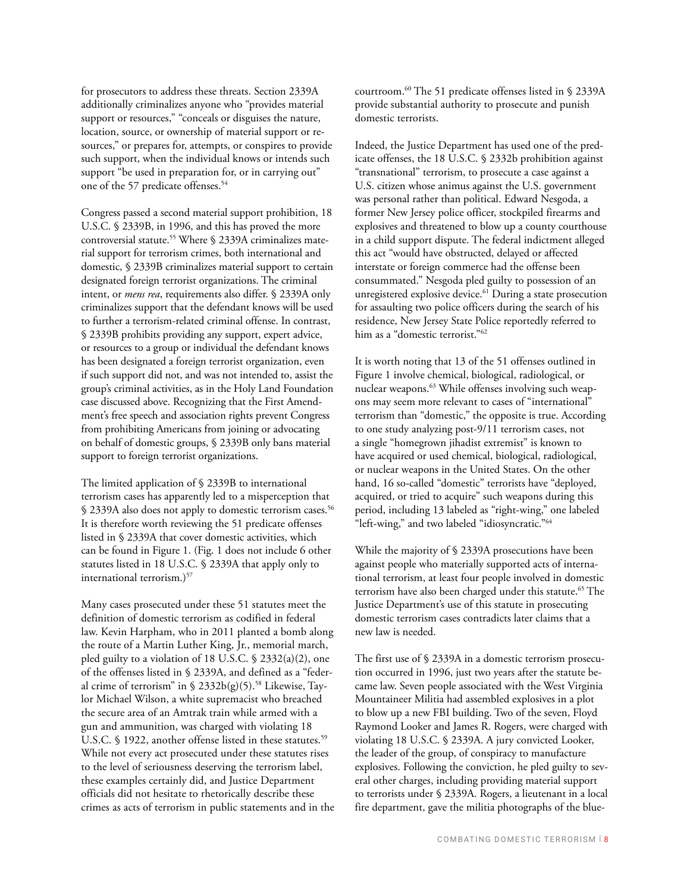for prosecutors to address these threats. Section 2339A additionally criminalizes anyone who "provides material support or resources," "conceals or disguises the nature, location, source, or ownership of material support or resources," or prepares for, attempts, or conspires to provide such support, when the individual knows or intends such support "be used in preparation for, or in carrying out" one of the 57 predicate offenses.<sup>54</sup>

Congress passed a second material support prohibition, 18 U.S.C. § 2339B, in 1996, and this has proved the more controversial statute.<sup>55</sup> Where § 2339A criminalizes material support for terrorism crimes, both international and domestic, § 2339B criminalizes material support to certain designated foreign terrorist organizations. The criminal intent, or *mens rea*, requirements also differ. § 2339A only criminalizes support that the defendant knows will be used to further a terrorism-related criminal offense. In contrast, § 2339B prohibits providing any support, expert advice, or resources to a group or individual the defendant knows has been designated a foreign terrorist organization, even if such support did not, and was not intended to, assist the group's criminal activities, as in the Holy Land Foundation case discussed above. Recognizing that the First Amendment's free speech and association rights prevent Congress from prohibiting Americans from joining or advocating on behalf of domestic groups, § 2339B only bans material support to foreign terrorist organizations.

The limited application of § 2339B to international terrorism cases has apparently led to a misperception that § 2339A also does not apply to domestic terrorism cases.<sup>56</sup> It is therefore worth reviewing the 51 predicate offenses listed in § 2339A that cover domestic activities, which can be found in Figure 1. (Fig. 1 does not include 6 other statutes listed in 18 U.S.C. § 2339A that apply only to international terrorism.)<sup>57</sup>

Many cases prosecuted under these 51 statutes meet the definition of domestic terrorism as codified in federal law. Kevin Harpham, who in 2011 planted a bomb along the route of a Martin Luther King, Jr., memorial march, pled guilty to a violation of 18 U.S.C. § 2332(a)(2), one of the offenses listed in § 2339A, and defined as a "federal crime of terrorism" in §  $2332b(g)(5)$ .<sup>58</sup> Likewise, Taylor Michael Wilson, a white supremacist who breached the secure area of an Amtrak train while armed with a gun and ammunition, was charged with violating 18 U.S.C. § 1922, another offense listed in these statutes.<sup>59</sup> While not every act prosecuted under these statutes rises to the level of seriousness deserving the terrorism label, these examples certainly did, and Justice Department officials did not hesitate to rhetorically describe these crimes as acts of terrorism in public statements and in the courtroom.60 The 51 predicate offenses listed in § 2339A provide substantial authority to prosecute and punish domestic terrorists.

Indeed, the Justice Department has used one of the predicate offenses, the 18 U.S.C. § 2332b prohibition against "transnational" terrorism, to prosecute a case against a U.S. citizen whose animus against the U.S. government was personal rather than political. Edward Nesgoda, a former New Jersey police officer, stockpiled firearms and explosives and threatened to blow up a county courthouse in a child support dispute. The federal indictment alleged this act "would have obstructed, delayed or affected interstate or foreign commerce had the offense been consummated." Nesgoda pled guilty to possession of an unregistered explosive device.<sup>61</sup> During a state prosecution for assaulting two police officers during the search of his residence, New Jersey State Police reportedly referred to him as a "domestic terrorist."62

It is worth noting that 13 of the 51 offenses outlined in Figure 1 involve chemical, biological, radiological, or nuclear weapons.<sup>63</sup> While offenses involving such weapons may seem more relevant to cases of "international" terrorism than "domestic," the opposite is true. According to one study analyzing post-9/11 terrorism cases, not a single "homegrown jihadist extremist" is known to have acquired or used chemical, biological, radiological, or nuclear weapons in the United States. On the other hand, 16 so-called "domestic" terrorists have "deployed, acquired, or tried to acquire" such weapons during this period, including 13 labeled as "right-wing," one labeled "left-wing," and two labeled "idiosyncratic."64

While the majority of § 2339A prosecutions have been against people who materially supported acts of international terrorism, at least four people involved in domestic terrorism have also been charged under this statute.<sup>65</sup> The Justice Department's use of this statute in prosecuting domestic terrorism cases contradicts later claims that a new law is needed.

The first use of § 2339A in a domestic terrorism prosecution occurred in 1996, just two years after the statute became law. Seven people associated with the West Virginia Mountaineer Militia had assembled explosives in a plot to blow up a new FBI building. Two of the seven, Floyd Raymond Looker and James R. Rogers, were charged with violating 18 U.S.C. § 2339A. A jury convicted Looker, the leader of the group, of conspiracy to manufacture explosives. Following the conviction, he pled guilty to several other charges, including providing material support to terrorists under § 2339A. Rogers, a lieutenant in a local fire department, gave the militia photographs of the blue-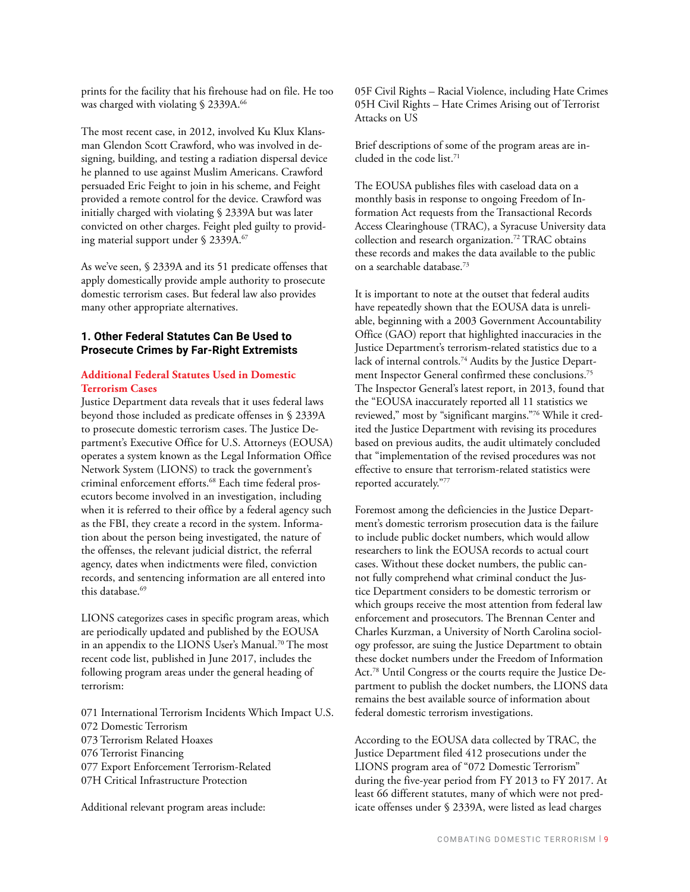prints for the facility that his firehouse had on file. He too was charged with violating § 2339A.<sup>66</sup>

The most recent case, in 2012, involved Ku Klux Klansman Glendon Scott Crawford, who was involved in designing, building, and testing a radiation dispersal device he planned to use against Muslim Americans. Crawford persuaded Eric Feight to join in his scheme, and Feight provided a remote control for the device. Crawford was initially charged with violating § 2339A but was later convicted on other charges. Feight pled guilty to providing material support under § 2339A.<sup>67</sup>

As we've seen, § 2339A and its 51 predicate offenses that apply domestically provide ample authority to prosecute domestic terrorism cases. But federal law also provides many other appropriate alternatives.

#### **1. Other Federal Statutes Can Be Used to Prosecute Crimes by Far-Right Extremists**

#### **Additional Federal Statutes Used in Domestic Terrorism Cases**

Justice Department data reveals that it uses federal laws beyond those included as predicate offenses in § 2339A to prosecute domestic terrorism cases. The Justice Department's Executive Office for U.S. Attorneys (EOUSA) operates a system known as the Legal Information Office Network System (LIONS) to track the government's criminal enforcement efforts.<sup>68</sup> Each time federal prosecutors become involved in an investigation, including when it is referred to their office by a federal agency such as the FBI, they create a record in the system. Information about the person being investigated, the nature of the offenses, the relevant judicial district, the referral agency, dates when indictments were filed, conviction records, and sentencing information are all entered into this database.<sup>69</sup>

LIONS categorizes cases in specific program areas, which are periodically updated and published by the EOUSA in an appendix to the LIONS User's Manual.<sup>70</sup> The most recent code list, published in June 2017, includes the following program areas under the general heading of terrorism:

071 International Terrorism Incidents Which Impact U.S. 072 Domestic Terrorism 073 Terrorism Related Hoaxes 076 Terrorist Financing 077 Export Enforcement Terrorism-Related 07H Critical Infrastructure Protection

Additional relevant program areas include:

05F Civil Rights – Racial Violence, including Hate Crimes 05H Civil Rights – Hate Crimes Arising out of Terrorist Attacks on US

Brief descriptions of some of the program areas are included in the code list.71

The EOUSA publishes files with caseload data on a monthly basis in response to ongoing Freedom of Information Act requests from the Transactional Records Access Clearinghouse (TRAC), a Syracuse University data collection and research organization.72 TRAC obtains these records and makes the data available to the public on a searchable database.73

It is important to note at the outset that federal audits have repeatedly shown that the EOUSA data is unreliable, beginning with a 2003 Government Accountability Office (GAO) report that highlighted inaccuracies in the Justice Department's terrorism-related statistics due to a lack of internal controls.74 Audits by the Justice Department Inspector General confirmed these conclusions.75 The Inspector General's latest report, in 2013, found that the "EOUSA inaccurately reported all 11 statistics we reviewed," most by "significant margins."76 While it credited the Justice Department with revising its procedures based on previous audits, the audit ultimately concluded that "implementation of the revised procedures was not effective to ensure that terrorism-related statistics were reported accurately."77

Foremost among the deficiencies in the Justice Department's domestic terrorism prosecution data is the failure to include public docket numbers, which would allow researchers to link the EOUSA records to actual court cases. Without these docket numbers, the public cannot fully comprehend what criminal conduct the Justice Department considers to be domestic terrorism or which groups receive the most attention from federal law enforcement and prosecutors. The Brennan Center and Charles Kurzman, a University of North Carolina sociology professor, are suing the Justice Department to obtain these docket numbers under the Freedom of Information Act.78 Until Congress or the courts require the Justice Department to publish the docket numbers, the LIONS data remains the best available source of information about federal domestic terrorism investigations.

According to the EOUSA data collected by TRAC, the Justice Department filed 412 prosecutions under the LIONS program area of "072 Domestic Terrorism" during the five-year period from FY 2013 to FY 2017. At least 66 different statutes, many of which were not predicate offenses under § 2339A, were listed as lead charges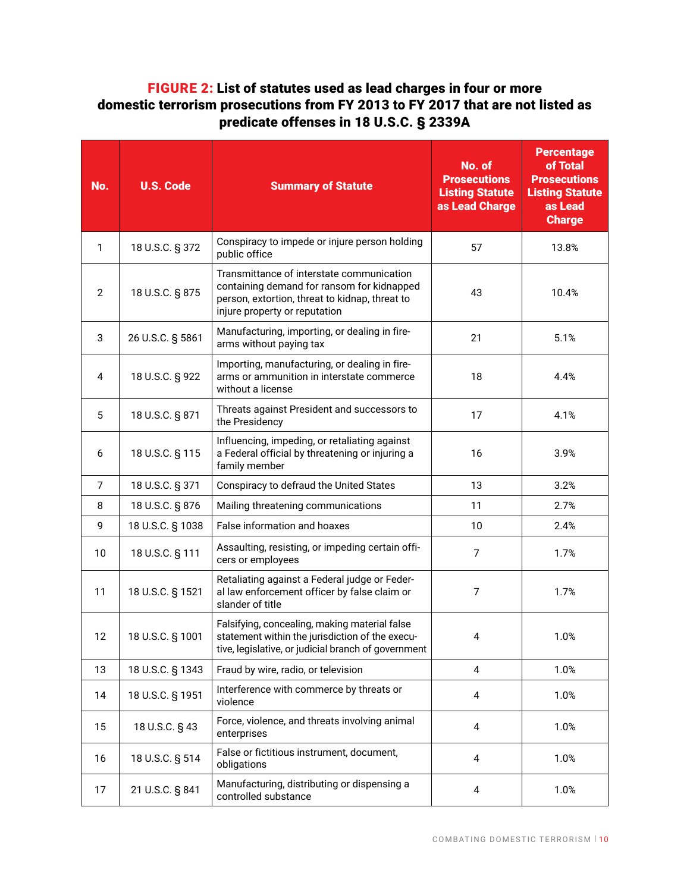# FIGURE 2: List of statutes used as lead charges in four or more domestic terrorism prosecutions from FY 2013 to FY 2017 that are not listed as predicate offenses in 18 U.S.C. § 2339A

| No. | <b>U.S. Code</b> | <b>Summary of Statute</b>                                                                                                                                                  | No. of<br><b>Prosecutions</b><br><b>Listing Statute</b><br>as Lead Charge | <b>Percentage</b><br>of Total<br><b>Prosecutions</b><br><b>Listing Statute</b><br>as Lead<br><b>Charge</b> |
|-----|------------------|----------------------------------------------------------------------------------------------------------------------------------------------------------------------------|---------------------------------------------------------------------------|------------------------------------------------------------------------------------------------------------|
| 1   | 18 U.S.C. § 372  | Conspiracy to impede or injure person holding<br>57<br>public office                                                                                                       |                                                                           | 13.8%                                                                                                      |
| 2   | 18 U.S.C. § 875  | Transmittance of interstate communication<br>containing demand for ransom for kidnapped<br>person, extortion, threat to kidnap, threat to<br>injure property or reputation | 43                                                                        | 10.4%                                                                                                      |
| 3   | 26 U.S.C. § 5861 | Manufacturing, importing, or dealing in fire-<br>arms without paying tax                                                                                                   | 21                                                                        | 5.1%                                                                                                       |
| 4   | 18 U.S.C. § 922  | Importing, manufacturing, or dealing in fire-<br>arms or ammunition in interstate commerce<br>18<br>without a license                                                      |                                                                           | 4.4%                                                                                                       |
| 5   | 18 U.S.C. § 871  | Threats against President and successors to<br>17<br>the Presidency                                                                                                        |                                                                           | 4.1%                                                                                                       |
| 6   | 18 U.S.C. § 115  | Influencing, impeding, or retaliating against<br>a Federal official by threatening or injuring a<br>16<br>family member                                                    |                                                                           | 3.9%                                                                                                       |
| 7   | 18 U.S.C. § 371  | Conspiracy to defraud the United States<br>13                                                                                                                              |                                                                           | 3.2%                                                                                                       |
| 8   | 18 U.S.C. § 876  | Mailing threatening communications<br>11                                                                                                                                   |                                                                           | 2.7%                                                                                                       |
| 9   | 18 U.S.C. § 1038 | False information and hoaxes<br>10                                                                                                                                         |                                                                           | 2.4%                                                                                                       |
| 10  | 18 U.S.C. § 111  | Assaulting, resisting, or impeding certain offi-<br>cers or employees                                                                                                      | $\overline{7}$                                                            | 1.7%                                                                                                       |
| 11  | 18 U.S.C. § 1521 | Retaliating against a Federal judge or Feder-<br>7<br>al law enforcement officer by false claim or<br>slander of title                                                     |                                                                           | 1.7%                                                                                                       |
| 12  | 18 U.S.C. § 1001 | Falsifying, concealing, making material false<br>statement within the jurisdiction of the execu-<br>4<br>tive, legislative, or judicial branch of government               |                                                                           | 1.0%                                                                                                       |
| 13  | 18 U.S.C. § 1343 | Fraud by wire, radio, or television                                                                                                                                        | 4                                                                         | 1.0%                                                                                                       |
| 14  | 18 U.S.C. § 1951 | Interference with commerce by threats or<br>$\overline{\mathbf{4}}$<br>violence                                                                                            |                                                                           | 1.0%                                                                                                       |
| 15  | 18 U.S.C. § 43   | Force, violence, and threats involving animal<br>4<br>enterprises                                                                                                          |                                                                           | 1.0%                                                                                                       |
| 16  | 18 U.S.C. § 514  | False or fictitious instrument, document,<br>4<br>obligations                                                                                                              |                                                                           | 1.0%                                                                                                       |
| 17  | 21 U.S.C. § 841  | Manufacturing, distributing or dispensing a<br>controlled substance                                                                                                        | 4                                                                         | 1.0%                                                                                                       |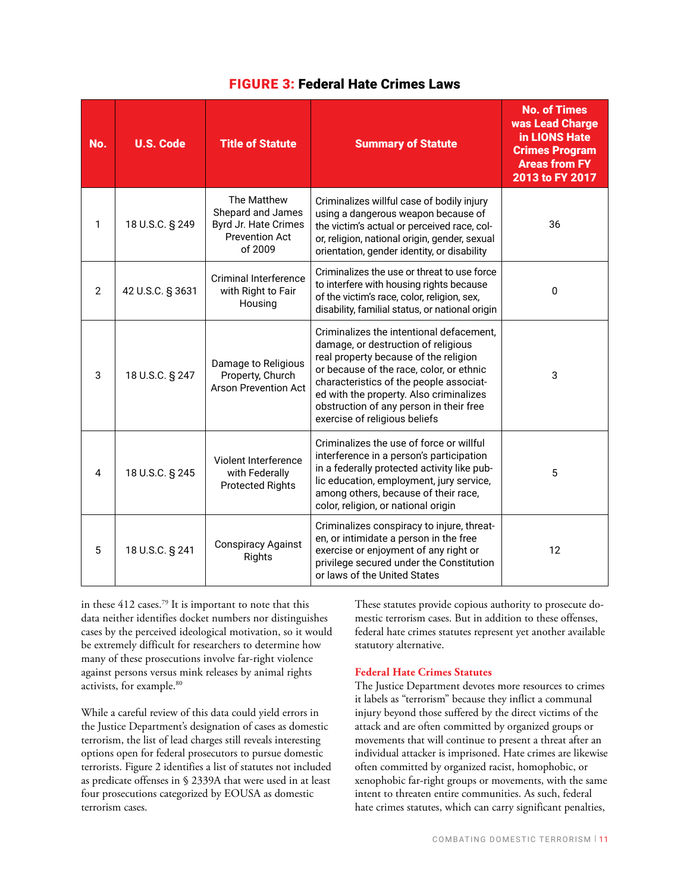| No. | <b>U.S. Code</b> | <b>Title of Statute</b>                                                                      | <b>Summary of Statute</b>                                                                                                                                                                                                                                                                                                              | <b>No. of Times</b><br>was Lead Charge<br>in LIONS Hate<br><b>Crimes Program</b><br><b>Areas from FY</b><br>2013 to FY 2017 |
|-----|------------------|----------------------------------------------------------------------------------------------|----------------------------------------------------------------------------------------------------------------------------------------------------------------------------------------------------------------------------------------------------------------------------------------------------------------------------------------|-----------------------------------------------------------------------------------------------------------------------------|
| 1   | 18 U.S.C. § 249  | The Matthew<br>Shepard and James<br>Byrd Jr. Hate Crimes<br><b>Prevention Act</b><br>of 2009 | Criminalizes willful case of bodily injury<br>using a dangerous weapon because of<br>the victim's actual or perceived race, col-<br>or, religion, national origin, gender, sexual<br>orientation, gender identity, or disability                                                                                                       | 36                                                                                                                          |
| 2   | 42 U.S.C. § 3631 | Criminal Interference<br>with Right to Fair<br>Housing                                       | Criminalizes the use or threat to use force<br>to interfere with housing rights because<br>of the victim's race, color, religion, sex,<br>disability, familial status, or national origin                                                                                                                                              | $\Omega$                                                                                                                    |
| 3   | 18 U.S.C. § 247  | Damage to Religious<br>Property, Church<br><b>Arson Prevention Act</b>                       | Criminalizes the intentional defacement,<br>damage, or destruction of religious<br>real property because of the religion<br>or because of the race, color, or ethnic<br>characteristics of the people associat-<br>ed with the property. Also criminalizes<br>obstruction of any person in their free<br>exercise of religious beliefs | 3                                                                                                                           |
| 4   | 18 U.S.C. § 245  | Violent Interference<br>with Federally<br><b>Protected Rights</b>                            | Criminalizes the use of force or willful<br>interference in a person's participation<br>in a federally protected activity like pub-<br>lic education, employment, jury service,<br>among others, because of their race,<br>color, religion, or national origin                                                                         | 5                                                                                                                           |
| 5   | 18 U.S.C. § 241  | <b>Conspiracy Against</b><br>Rights                                                          | Criminalizes conspiracy to injure, threat-<br>en, or intimidate a person in the free<br>exercise or enjoyment of any right or<br>privilege secured under the Constitution<br>or laws of the United States                                                                                                                              | 12                                                                                                                          |

## FIGURE 3: Federal Hate Crimes Laws

in these 412 cases.79 It is important to note that this data neither identifies docket numbers nor distinguishes cases by the perceived ideological motivation, so it would be extremely difficult for researchers to determine how many of these prosecutions involve far-right violence against persons versus mink releases by animal rights activists, for example.80

While a careful review of this data could yield errors in the Justice Department's designation of cases as domestic terrorism, the list of lead charges still reveals interesting options open for federal prosecutors to pursue domestic terrorists. Figure 2 identifies a list of statutes not included as predicate offenses in § 2339A that were used in at least four prosecutions categorized by EOUSA as domestic terrorism cases.

These statutes provide copious authority to prosecute domestic terrorism cases. But in addition to these offenses, federal hate crimes statutes represent yet another available statutory alternative.

## **Federal Hate Crimes Statutes**

The Justice Department devotes more resources to crimes it labels as "terrorism" because they inflict a communal injury beyond those suffered by the direct victims of the attack and are often committed by organized groups or movements that will continue to present a threat after an individual attacker is imprisoned. Hate crimes are likewise often committed by organized racist, homophobic, or xenophobic far-right groups or movements, with the same intent to threaten entire communities. As such, federal hate crimes statutes, which can carry significant penalties,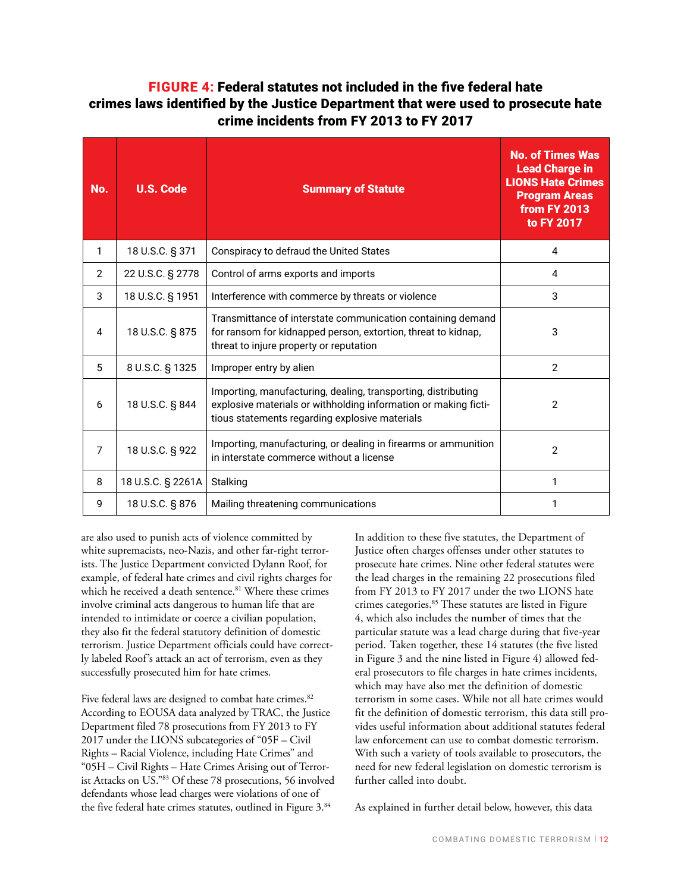# FIGURE 4: Federal statutes not included in the five federal hate crimes laws identified by the Justice Department that were used to prosecute hate crime incidents from FY 2013 to FY 2017

| No.            | <b>U.S. Code</b>  | <b>Summary of Statute</b>                                                                                                                                                          | <b>No. of Times Was</b><br><b>Lead Charge in</b><br><b>LIONS Hate Crimes</b><br><b>Program Areas</b><br><b>from FY 2013</b><br>to FY 2017 |
|----------------|-------------------|------------------------------------------------------------------------------------------------------------------------------------------------------------------------------------|-------------------------------------------------------------------------------------------------------------------------------------------|
| 1              | 18 U.S.C. § 371   | Conspiracy to defraud the United States                                                                                                                                            | 4                                                                                                                                         |
| $\overline{2}$ | 22 U.S.C. § 2778  | Control of arms exports and imports                                                                                                                                                | 4                                                                                                                                         |
| 3              | 18 U.S.C. § 1951  | Interference with commerce by threats or violence                                                                                                                                  | 3                                                                                                                                         |
| 4              | 18 U.S.C. § 875   | Transmittance of interstate communication containing demand<br>for ransom for kidnapped person, extortion, threat to kidnap,<br>threat to injure property or reputation            | 3                                                                                                                                         |
| 5              | 8 U.S.C. § 1325   | Improper entry by alien                                                                                                                                                            | $\overline{2}$                                                                                                                            |
| 6              | 18 U.S.C. § 844   | Importing, manufacturing, dealing, transporting, distributing<br>explosive materials or withholding information or making ficti-<br>tious statements regarding explosive materials | $\mathbf{2}$                                                                                                                              |
| 7              | 18 U.S.C. § 922   | Importing, manufacturing, or dealing in firearms or ammunition<br>in interstate commerce without a license                                                                         | $\overline{2}$                                                                                                                            |
| 8              | 18 U.S.C. § 2261A | Stalking                                                                                                                                                                           | 1                                                                                                                                         |
| 9              | 18 U.S.C. § 876   | Mailing threatening communications                                                                                                                                                 |                                                                                                                                           |

are also used to punish acts of violence committed by white supremacists, neo-Nazis, and other far-right terrorists. The Justice Department convicted Dylann Roof, for example, of federal hate crimes and civil rights charges for which he received a death sentence.<sup>81</sup> Where these crimes involve criminal acts dangerous to human life that are intended to intimidate or coerce a civilian population, they also fit the federal statutory definition of domestic terrorism. Justice Department officials could have correctly labeled Roof's attack an act of terrorism, even as they successfully prosecuted him for hate crimes.

Five federal laws are designed to combat hate crimes.<sup>82</sup> According to EOUSA data analyzed by TRAC, the Justice Department filed 78 prosecutions from FY 2013 to FY 2017 under the LIONS subcategories of "05F – Civil Rights – Racial Violence, including Hate Crimes" and "05H – Civil Rights – Hate Crimes Arising out of Terrorist Attacks on US."83 Of these 78 prosecutions, 56 involved defendants whose lead charges were violations of one of the five federal hate crimes statutes, outlined in Figure 3.<sup>84</sup>

In addition to these five statutes, the Department of Justice often charges offenses under other statutes to prosecute hate crimes. Nine other federal statutes were the lead charges in the remaining 22 prosecutions filed from FY 2013 to FY 2017 under the two LIONS hate crimes categories.85 These statutes are listed in Figure 4, which also includes the number of times that the particular statute was a lead charge during that five-year period. Taken together, these 14 statutes (the five listed in Figure 3 and the nine listed in Figure 4) allowed federal prosecutors to file charges in hate crimes incidents, which may have also met the definition of domestic terrorism in some cases. While not all hate crimes would fit the definition of domestic terrorism, this data still provides useful information about additional statutes federal law enforcement can use to combat domestic terrorism. With such a variety of tools available to prosecutors, the need for new federal legislation on domestic terrorism is further called into doubt.

As explained in further detail below, however, this data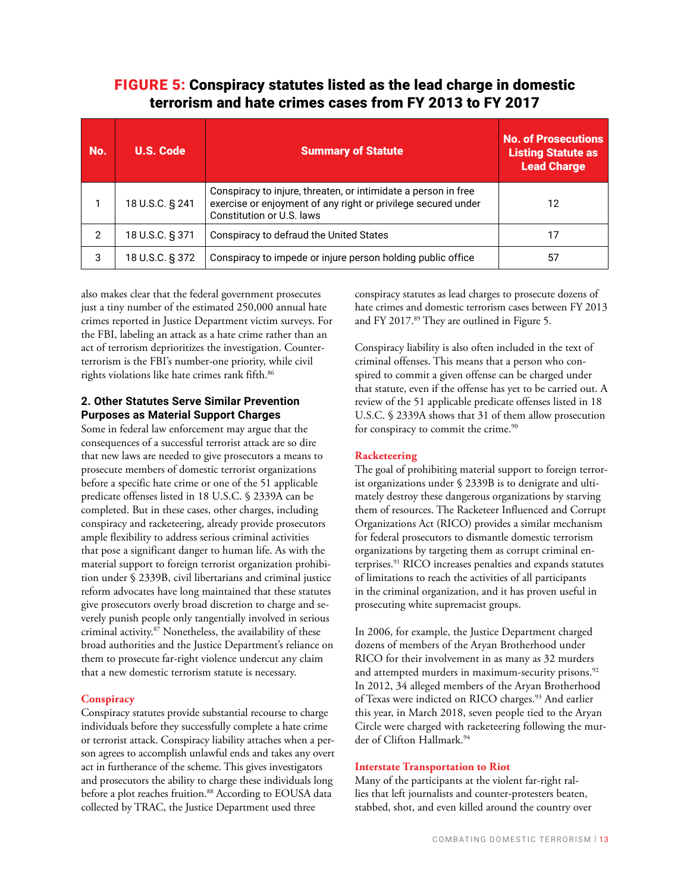## FIGURE 5: Conspiracy statutes listed as the lead charge in domestic terrorism and hate crimes cases from FY 2013 to FY 2017

| No.           | <b>U.S. Code</b> | <b>Summary of Statute</b>                                                                                                                                    | <b>No. of Prosecutions</b><br><b>Listing Statute as</b><br><b>Lead Charge</b> |
|---------------|------------------|--------------------------------------------------------------------------------------------------------------------------------------------------------------|-------------------------------------------------------------------------------|
| 1             | 18 U.S.C. § 241  | Conspiracy to injure, threaten, or intimidate a person in free<br>exercise or enjoyment of any right or privilege secured under<br>Constitution or U.S. laws | 12                                                                            |
| $\mathcal{P}$ | 18 U.S.C. § 371  | Conspiracy to defraud the United States                                                                                                                      | 17                                                                            |
| 3             | 18 U.S.C. § 372  | Conspiracy to impede or injure person holding public office                                                                                                  | 57                                                                            |

also makes clear that the federal government prosecutes just a tiny number of the estimated 250,000 annual hate crimes reported in Justice Department victim surveys. For the FBI, labeling an attack as a hate crime rather than an act of terrorism deprioritizes the investigation. Counterterrorism is the FBI's number-one priority, while civil rights violations like hate crimes rank fifth.<sup>86</sup>

#### **2. Other Statutes Serve Similar Prevention Purposes as Material Support Charges**

Some in federal law enforcement may argue that the consequences of a successful terrorist attack are so dire that new laws are needed to give prosecutors a means to prosecute members of domestic terrorist organizations before a specific hate crime or one of the 51 applicable predicate offenses listed in 18 U.S.C. § 2339A can be completed. But in these cases, other charges, including conspiracy and racketeering, already provide prosecutors ample flexibility to address serious criminal activities that pose a significant danger to human life. As with the material support to foreign terrorist organization prohibition under § 2339B, civil libertarians and criminal justice reform advocates have long maintained that these statutes give prosecutors overly broad discretion to charge and severely punish people only tangentially involved in serious criminal activity.87 Nonetheless, the availability of these broad authorities and the Justice Department's reliance on them to prosecute far-right violence undercut any claim that a new domestic terrorism statute is necessary.

#### **Conspiracy**

Conspiracy statutes provide substantial recourse to charge individuals before they successfully complete a hate crime or terrorist attack. Conspiracy liability attaches when a person agrees to accomplish unlawful ends and takes any overt act in furtherance of the scheme. This gives investigators and prosecutors the ability to charge these individuals long before a plot reaches fruition.<sup>88</sup> According to EOUSA data collected by TRAC, the Justice Department used three

conspiracy statutes as lead charges to prosecute dozens of hate crimes and domestic terrorism cases between FY 2013 and FY 2017.<sup>89</sup> They are outlined in Figure 5.

Conspiracy liability is also often included in the text of criminal offenses. This means that a person who conspired to commit a given offense can be charged under that statute, even if the offense has yet to be carried out. A review of the 51 applicable predicate offenses listed in 18 U.S.C. § 2339A shows that 31 of them allow prosecution for conspiracy to commit the crime.<sup>90</sup>

## **Racketeering**

The goal of prohibiting material support to foreign terrorist organizations under § 2339B is to denigrate and ultimately destroy these dangerous organizations by starving them of resources. The Racketeer Influenced and Corrupt Organizations Act (RICO) provides a similar mechanism for federal prosecutors to dismantle domestic terrorism organizations by targeting them as corrupt criminal enterprises.91 RICO increases penalties and expands statutes of limitations to reach the activities of all participants in the criminal organization, and it has proven useful in prosecuting white supremacist groups.

In 2006, for example, the Justice Department charged dozens of members of the Aryan Brotherhood under RICO for their involvement in as many as 32 murders and attempted murders in maximum-security prisons.<sup>92</sup> In 2012, 34 alleged members of the Aryan Brotherhood of Texas were indicted on RICO charges.<sup>93</sup> And earlier this year, in March 2018, seven people tied to the Aryan Circle were charged with racketeering following the murder of Clifton Hallmark.94

#### **Interstate Transportation to Riot**

Many of the participants at the violent far-right rallies that left journalists and counter-protesters beaten, stabbed, shot, and even killed around the country over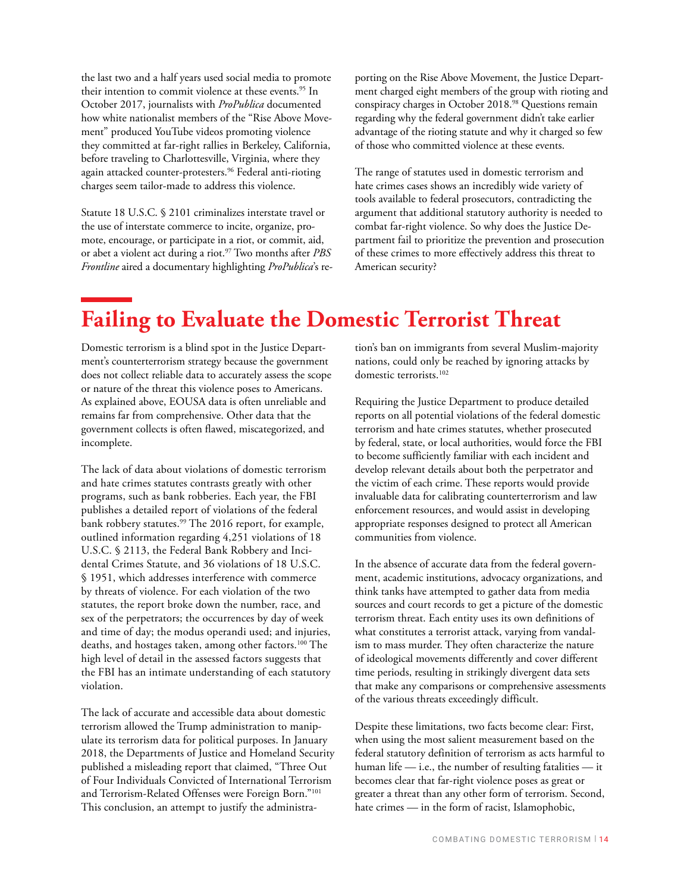the last two and a half years used social media to promote their intention to commit violence at these events.<sup>95</sup> In October 2017, journalists with *ProPublica* documented how white nationalist members of the "Rise Above Movement" produced YouTube videos promoting violence they committed at far-right rallies in Berkeley, California, before traveling to Charlottesville, Virginia, where they again attacked counter-protesters.96 Federal anti-rioting charges seem tailor-made to address this violence.

Statute 18 U.S.C. § 2101 criminalizes interstate travel or the use of interstate commerce to incite, organize, promote, encourage, or participate in a riot, or commit, aid, or abet a violent act during a riot.97 Two months after *PBS Frontline* aired a documentary highlighting *ProPublica*'s reporting on the Rise Above Movement, the Justice Department charged eight members of the group with rioting and conspiracy charges in October 2018.<sup>98</sup> Questions remain regarding why the federal government didn't take earlier advantage of the rioting statute and why it charged so few of those who committed violence at these events.

The range of statutes used in domestic terrorism and hate crimes cases shows an incredibly wide variety of tools available to federal prosecutors, contradicting the argument that additional statutory authority is needed to combat far-right violence. So why does the Justice Department fail to prioritize the prevention and prosecution of these crimes to more effectively address this threat to American security?

# **Failing to Evaluate the Domestic Terrorist Threat**

Domestic terrorism is a blind spot in the Justice Department's counterterrorism strategy because the government does not collect reliable data to accurately assess the scope or nature of the threat this violence poses to Americans. As explained above, EOUSA data is often unreliable and remains far from comprehensive. Other data that the government collects is often flawed, miscategorized, and incomplete.

The lack of data about violations of domestic terrorism and hate crimes statutes contrasts greatly with other programs, such as bank robberies. Each year, the FBI publishes a detailed report of violations of the federal bank robbery statutes.<sup>99</sup> The 2016 report, for example, outlined information regarding 4,251 violations of 18 U.S.C. § 2113, the Federal Bank Robbery and Incidental Crimes Statute, and 36 violations of 18 U.S.C. § 1951, which addresses interference with commerce by threats of violence. For each violation of the two statutes, the report broke down the number, race, and sex of the perpetrators; the occurrences by day of week and time of day; the modus operandi used; and injuries, deaths, and hostages taken, among other factors.<sup>100</sup> The high level of detail in the assessed factors suggests that the FBI has an intimate understanding of each statutory violation.

The lack of accurate and accessible data about domestic terrorism allowed the Trump administration to manipulate its terrorism data for political purposes. In January 2018, the Departments of Justice and Homeland Security published a misleading report that claimed, "Three Out of Four Individuals Convicted of International Terrorism and Terrorism-Related Offenses were Foreign Born."101 This conclusion, an attempt to justify the administra-

tion's ban on immigrants from several Muslim-majority nations, could only be reached by ignoring attacks by domestic terrorists.<sup>102</sup>

Requiring the Justice Department to produce detailed reports on all potential violations of the federal domestic terrorism and hate crimes statutes, whether prosecuted by federal, state, or local authorities, would force the FBI to become sufficiently familiar with each incident and develop relevant details about both the perpetrator and the victim of each crime. These reports would provide invaluable data for calibrating counterterrorism and law enforcement resources, and would assist in developing appropriate responses designed to protect all American communities from violence.

In the absence of accurate data from the federal government, academic institutions, advocacy organizations, and think tanks have attempted to gather data from media sources and court records to get a picture of the domestic terrorism threat. Each entity uses its own definitions of what constitutes a terrorist attack, varying from vandalism to mass murder. They often characterize the nature of ideological movements differently and cover different time periods, resulting in strikingly divergent data sets that make any comparisons or comprehensive assessments of the various threats exceedingly difficult.

Despite these limitations, two facts become clear: First, when using the most salient measurement based on the federal statutory definition of terrorism as acts harmful to human life — i.e., the number of resulting fatalities — it becomes clear that far-right violence poses as great or greater a threat than any other form of terrorism. Second, hate crimes — in the form of racist, Islamophobic,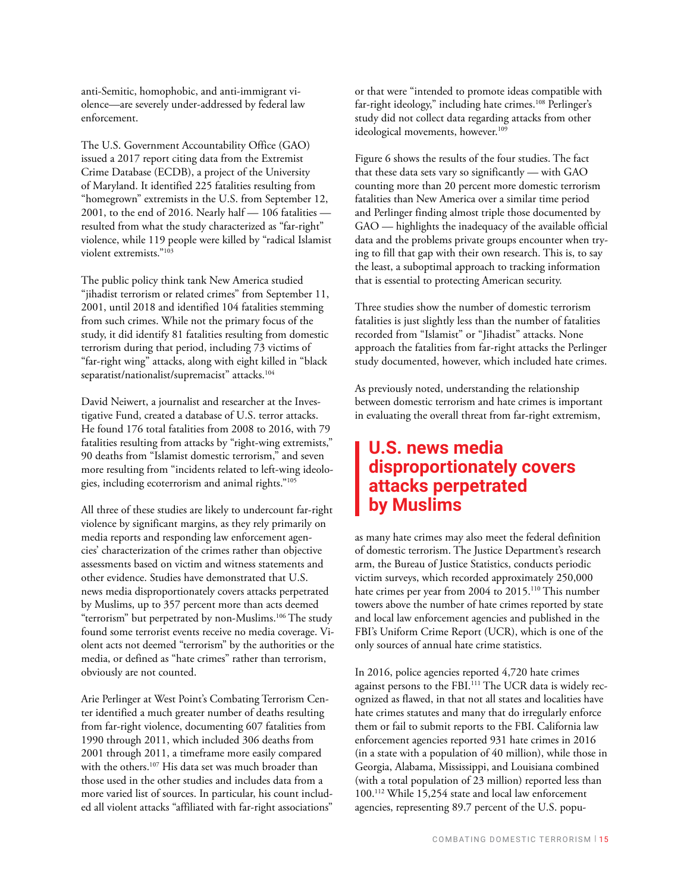anti-Semitic, homophobic, and anti-immigrant violence—are severely under-addressed by federal law enforcement.

The U.S. Government Accountability Office (GAO) issued a 2017 report citing data from the Extremist Crime Database (ECDB), a project of the University of Maryland. It identified 225 fatalities resulting from "homegrown" extremists in the U.S. from September 12, 2001, to the end of 2016. Nearly half — 106 fatalities resulted from what the study characterized as "far-right" violence, while 119 people were killed by "radical Islamist violent extremists."103

The public policy think tank New America studied "jihadist terrorism or related crimes" from September 11, 2001, until 2018 and identified 104 fatalities stemming from such crimes. While not the primary focus of the study, it did identify 81 fatalities resulting from domestic terrorism during that period, including 73 victims of "far-right wing" attacks, along with eight killed in "black separatist/nationalist/supremacist" attacks.<sup>104</sup>

David Neiwert, a journalist and researcher at the Investigative Fund, created a database of U.S. terror attacks. He found 176 total fatalities from 2008 to 2016, with 79 fatalities resulting from attacks by "right-wing extremists," 90 deaths from "Islamist domestic terrorism," and seven more resulting from "incidents related to left-wing ideologies, including ecoterrorism and animal rights."105

All three of these studies are likely to undercount far-right violence by significant margins, as they rely primarily on media reports and responding law enforcement agencies' characterization of the crimes rather than objective assessments based on victim and witness statements and other evidence. Studies have demonstrated that U.S. news media disproportionately covers attacks perpetrated by Muslims, up to 357 percent more than acts deemed "terrorism" but perpetrated by non-Muslims.<sup>106</sup> The study found some terrorist events receive no media coverage. Violent acts not deemed "terrorism" by the authorities or the media, or defined as "hate crimes" rather than terrorism, obviously are not counted.

Arie Perlinger at West Point's Combating Terrorism Center identified a much greater number of deaths resulting from far-right violence, documenting 607 fatalities from 1990 through 2011, which included 306 deaths from 2001 through 2011, a timeframe more easily compared with the others.<sup>107</sup> His data set was much broader than those used in the other studies and includes data from a more varied list of sources. In particular, his count included all violent attacks "affiliated with far-right associations" or that were "intended to promote ideas compatible with far-right ideology," including hate crimes.<sup>108</sup> Perlinger's study did not collect data regarding attacks from other ideological movements, however.<sup>109</sup>

Figure 6 shows the results of the four studies. The fact that these data sets vary so significantly — with GAO counting more than 20 percent more domestic terrorism fatalities than New America over a similar time period and Perlinger finding almost triple those documented by GAO — highlights the inadequacy of the available official data and the problems private groups encounter when trying to fill that gap with their own research. This is, to say the least, a suboptimal approach to tracking information that is essential to protecting American security.

Three studies show the number of domestic terrorism fatalities is just slightly less than the number of fatalities recorded from "Islamist" or "Jihadist" attacks. None approach the fatalities from far-right attacks the Perlinger study documented, however, which included hate crimes.

As previously noted, understanding the relationship between domestic terrorism and hate crimes is important in evaluating the overall threat from far-right extremism,

# **U.S. news media disproportionately covers attacks perpetrated by Muslims**

as many hate crimes may also meet the federal definition of domestic terrorism. The Justice Department's research arm, the Bureau of Justice Statistics, conducts periodic victim surveys, which recorded approximately 250,000 hate crimes per year from 2004 to 2015.<sup>110</sup> This number towers above the number of hate crimes reported by state and local law enforcement agencies and published in the FBI's Uniform Crime Report (UCR), which is one of the only sources of annual hate crime statistics.

In 2016, police agencies reported 4,720 hate crimes against persons to the FBI.<sup>111</sup> The UCR data is widely recognized as flawed, in that not all states and localities have hate crimes statutes and many that do irregularly enforce them or fail to submit reports to the FBI. California law enforcement agencies reported 931 hate crimes in 2016 (in a state with a population of 40 million), while those in Georgia, Alabama, Mississippi, and Louisiana combined (with a total population of 23 million) reported less than 100.112 While 15,254 state and local law enforcement agencies, representing 89.7 percent of the U.S. popu-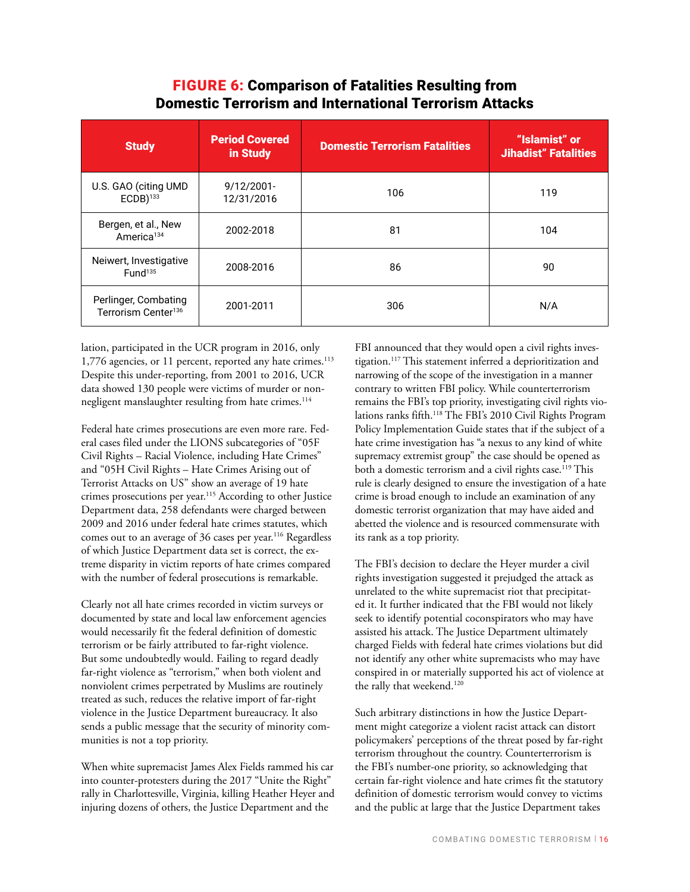## FIGURE 6: Comparison of Fatalities Resulting from Domestic Terrorism and International Terrorism Attacks

| <b>Study</b>                                            | <b>Period Covered</b><br>in Study | <b>Domestic Terrorism Fatalities</b> | "Islamist" or<br><b>Jihadist" Fatalities</b> |
|---------------------------------------------------------|-----------------------------------|--------------------------------------|----------------------------------------------|
| U.S. GAO (citing UMD<br>$ECDB$ ) <sup>133</sup>         | $9/12/2001$ -<br>12/31/2016       | 106                                  | 119                                          |
| Bergen, et al., New<br>America <sup>134</sup>           | 2002-2018                         | 81                                   | 104                                          |
| Neiwert, Investigative<br>Fund <sup>135</sup>           | 2008-2016                         | 86                                   | 90                                           |
| Perlinger, Combating<br>Terrorism Center <sup>136</sup> | 2001-2011                         | 306                                  | N/A                                          |

lation, participated in the UCR program in 2016, only 1,776 agencies, or 11 percent, reported any hate crimes.<sup>113</sup> Despite this under-reporting, from 2001 to 2016, UCR data showed 130 people were victims of murder or nonnegligent manslaughter resulting from hate crimes.<sup>114</sup>

Federal hate crimes prosecutions are even more rare. Federal cases filed under the LIONS subcategories of "05F Civil Rights – Racial Violence, including Hate Crimes" and "05H Civil Rights – Hate Crimes Arising out of Terrorist Attacks on US" show an average of 19 hate crimes prosecutions per year.<sup>115</sup> According to other Justice Department data, 258 defendants were charged between 2009 and 2016 under federal hate crimes statutes, which comes out to an average of 36 cases per year.<sup>116</sup> Regardless of which Justice Department data set is correct, the extreme disparity in victim reports of hate crimes compared with the number of federal prosecutions is remarkable.

Clearly not all hate crimes recorded in victim surveys or documented by state and local law enforcement agencies would necessarily fit the federal definition of domestic terrorism or be fairly attributed to far-right violence. But some undoubtedly would. Failing to regard deadly far-right violence as "terrorism," when both violent and nonviolent crimes perpetrated by Muslims are routinely treated as such, reduces the relative import of far-right violence in the Justice Department bureaucracy. It also sends a public message that the security of minority communities is not a top priority.

When white supremacist James Alex Fields rammed his car into counter-protesters during the 2017 "Unite the Right" rally in Charlottesville, Virginia, killing Heather Heyer and injuring dozens of others, the Justice Department and the

FBI announced that they would open a civil rights investigation.117 This statement inferred a deprioritization and narrowing of the scope of the investigation in a manner contrary to written FBI policy. While counterterrorism remains the FBI's top priority, investigating civil rights violations ranks fifth.118 The FBI's 2010 Civil Rights Program Policy Implementation Guide states that if the subject of a hate crime investigation has "a nexus to any kind of white supremacy extremist group" the case should be opened as both a domestic terrorism and a civil rights case.<sup>119</sup> This rule is clearly designed to ensure the investigation of a hate crime is broad enough to include an examination of any domestic terrorist organization that may have aided and abetted the violence and is resourced commensurate with its rank as a top priority.

The FBI's decision to declare the Heyer murder a civil rights investigation suggested it prejudged the attack as unrelated to the white supremacist riot that precipitated it. It further indicated that the FBI would not likely seek to identify potential coconspirators who may have assisted his attack. The Justice Department ultimately charged Fields with federal hate crimes violations but did not identify any other white supremacists who may have conspired in or materially supported his act of violence at the rally that weekend.<sup>120</sup>

Such arbitrary distinctions in how the Justice Department might categorize a violent racist attack can distort policymakers' perceptions of the threat posed by far-right terrorism throughout the country. Counterterrorism is the FBI's number-one priority, so acknowledging that certain far-right violence and hate crimes fit the statutory definition of domestic terrorism would convey to victims and the public at large that the Justice Department takes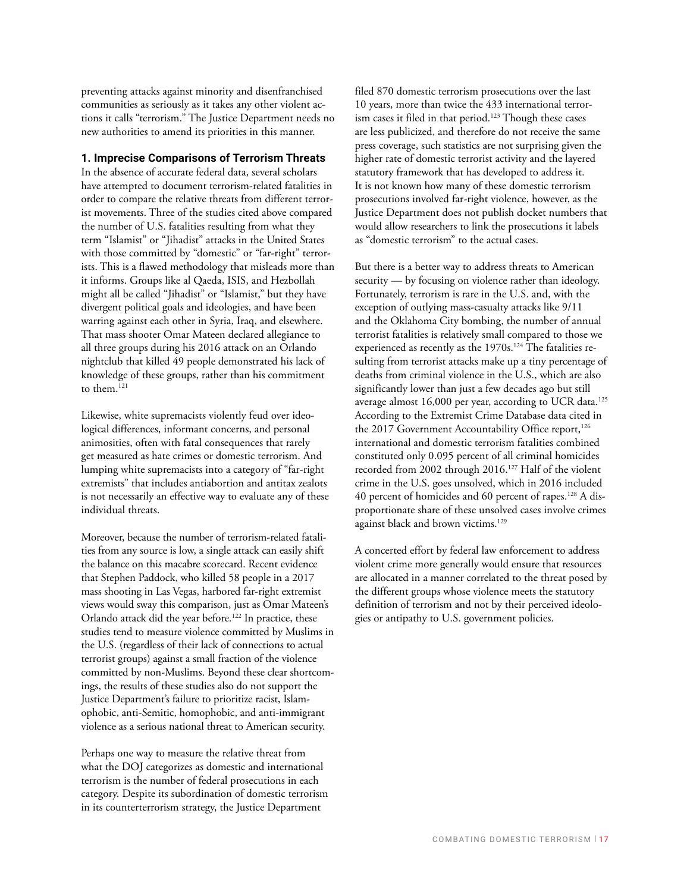preventing attacks against minority and disenfranchised communities as seriously as it takes any other violent actions it calls "terrorism." The Justice Department needs no new authorities to amend its priorities in this manner.

#### **1. Imprecise Comparisons of Terrorism Threats**

In the absence of accurate federal data, several scholars have attempted to document terrorism-related fatalities in order to compare the relative threats from different terrorist movements. Three of the studies cited above compared the number of U.S. fatalities resulting from what they term "Islamist" or "Jihadist" attacks in the United States with those committed by "domestic" or "far-right" terrorists. This is a flawed methodology that misleads more than it informs. Groups like al Qaeda, ISIS, and Hezbollah might all be called "Jihadist" or "Islamist," but they have divergent political goals and ideologies, and have been warring against each other in Syria, Iraq, and elsewhere. That mass shooter Omar Mateen declared allegiance to all three groups during his 2016 attack on an Orlando nightclub that killed 49 people demonstrated his lack of knowledge of these groups, rather than his commitment to them.<sup>121</sup>

Likewise, white supremacists violently feud over ideological differences, informant concerns, and personal animosities, often with fatal consequences that rarely get measured as hate crimes or domestic terrorism. And lumping white supremacists into a category of "far-right extremists" that includes antiabortion and antitax zealots is not necessarily an effective way to evaluate any of these individual threats.

Moreover, because the number of terrorism-related fatalities from any source is low, a single attack can easily shift the balance on this macabre scorecard. Recent evidence that Stephen Paddock, who killed 58 people in a 2017 mass shooting in Las Vegas, harbored far-right extremist views would sway this comparison, just as Omar Mateen's Orlando attack did the year before.<sup>122</sup> In practice, these studies tend to measure violence committed by Muslims in the U.S. (regardless of their lack of connections to actual terrorist groups) against a small fraction of the violence committed by non-Muslims. Beyond these clear shortcomings, the results of these studies also do not support the Justice Department's failure to prioritize racist, Islamophobic, anti-Semitic, homophobic, and anti-immigrant violence as a serious national threat to American security.

Perhaps one way to measure the relative threat from what the DOJ categorizes as domestic and international terrorism is the number of federal prosecutions in each category. Despite its subordination of domestic terrorism in its counterterrorism strategy, the Justice Department

filed 870 domestic terrorism prosecutions over the last 10 years, more than twice the 433 international terrorism cases it filed in that period.<sup>123</sup> Though these cases are less publicized, and therefore do not receive the same press coverage, such statistics are not surprising given the higher rate of domestic terrorist activity and the layered statutory framework that has developed to address it. It is not known how many of these domestic terrorism prosecutions involved far-right violence, however, as the Justice Department does not publish docket numbers that would allow researchers to link the prosecutions it labels as "domestic terrorism" to the actual cases.

But there is a better way to address threats to American security — by focusing on violence rather than ideology. Fortunately, terrorism is rare in the U.S. and, with the exception of outlying mass-casualty attacks like 9/11 and the Oklahoma City bombing, the number of annual terrorist fatalities is relatively small compared to those we experienced as recently as the 1970s.<sup>124</sup> The fatalities resulting from terrorist attacks make up a tiny percentage of deaths from criminal violence in the U.S., which are also significantly lower than just a few decades ago but still average almost 16,000 per year, according to UCR data.<sup>125</sup> According to the Extremist Crime Database data cited in the 2017 Government Accountability Office report,<sup>126</sup> international and domestic terrorism fatalities combined constituted only 0.095 percent of all criminal homicides recorded from 2002 through 2016.127 Half of the violent crime in the U.S. goes unsolved, which in 2016 included 40 percent of homicides and 60 percent of rapes.128 A disproportionate share of these unsolved cases involve crimes against black and brown victims.<sup>129</sup>

A concerted effort by federal law enforcement to address violent crime more generally would ensure that resources are allocated in a manner correlated to the threat posed by the different groups whose violence meets the statutory definition of terrorism and not by their perceived ideologies or antipathy to U.S. government policies.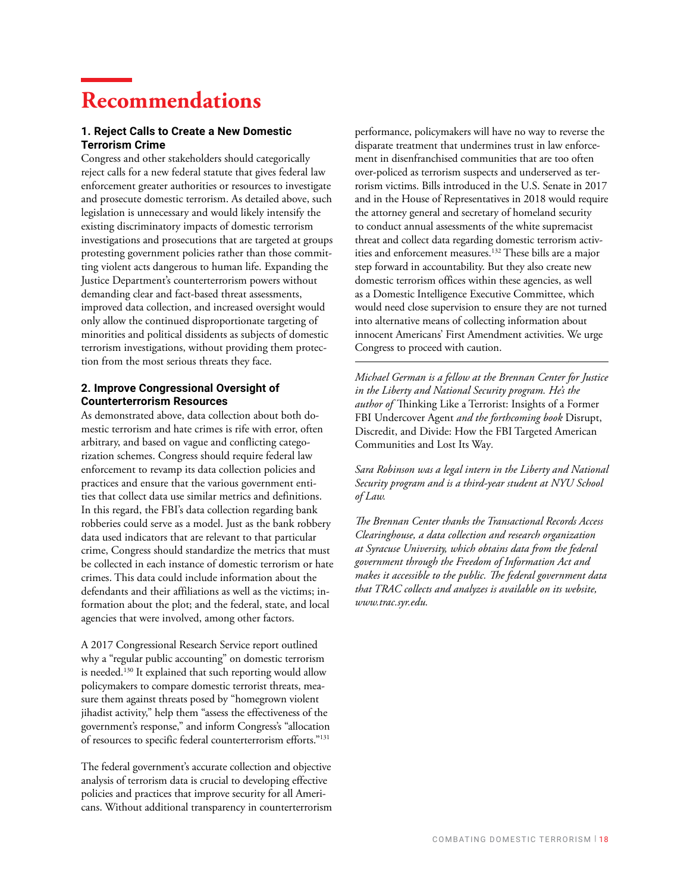# **Recommendations**

#### **1. Reject Calls to Create a New Domestic Terrorism Crime**

Congress and other stakeholders should categorically reject calls for a new federal statute that gives federal law enforcement greater authorities or resources to investigate and prosecute domestic terrorism. As detailed above, such legislation is unnecessary and would likely intensify the existing discriminatory impacts of domestic terrorism investigations and prosecutions that are targeted at groups protesting government policies rather than those committing violent acts dangerous to human life. Expanding the Justice Department's counterterrorism powers without demanding clear and fact-based threat assessments, improved data collection, and increased oversight would only allow the continued disproportionate targeting of minorities and political dissidents as subjects of domestic terrorism investigations, without providing them protection from the most serious threats they face.

#### **2. Improve Congressional Oversight of Counterterrorism Resources**

As demonstrated above, data collection about both domestic terrorism and hate crimes is rife with error, often arbitrary, and based on vague and conflicting categorization schemes. Congress should require federal law enforcement to revamp its data collection policies and practices and ensure that the various government entities that collect data use similar metrics and definitions. In this regard, the FBI's data collection regarding bank robberies could serve as a model. Just as the bank robbery data used indicators that are relevant to that particular crime, Congress should standardize the metrics that must be collected in each instance of domestic terrorism or hate crimes. This data could include information about the defendants and their affiliations as well as the victims; information about the plot; and the federal, state, and local agencies that were involved, among other factors.

A 2017 Congressional Research Service report outlined why a "regular public accounting" on domestic terrorism is needed.<sup>130</sup> It explained that such reporting would allow policymakers to compare domestic terrorist threats, measure them against threats posed by "homegrown violent jihadist activity," help them "assess the effectiveness of the government's response," and inform Congress's "allocation of resources to specific federal counterterrorism efforts."131

The federal government's accurate collection and objective analysis of terrorism data is crucial to developing effective policies and practices that improve security for all Americans. Without additional transparency in counterterrorism

performance, policymakers will have no way to reverse the disparate treatment that undermines trust in law enforcement in disenfranchised communities that are too often over-policed as terrorism suspects and underserved as terrorism victims. Bills introduced in the U.S. Senate in 2017 and in the House of Representatives in 2018 would require the attorney general and secretary of homeland security to conduct annual assessments of the white supremacist threat and collect data regarding domestic terrorism activities and enforcement measures.132 These bills are a major step forward in accountability. But they also create new domestic terrorism offices within these agencies, as well as a Domestic Intelligence Executive Committee, which would need close supervision to ensure they are not turned into alternative means of collecting information about innocent Americans' First Amendment activities. We urge Congress to proceed with caution.

*Michael German is a fellow at the Brennan Center for Justice in the Liberty and National Security program. He's the author of* Thinking Like a Terrorist: Insights of a Former FBI Undercover Agent *and the forthcoming book* Disrupt, Discredit, and Divide: How the FBI Targeted American Communities and Lost Its Way*.* 

*Sara Robinson was a legal intern in the Liberty and National Security program and is a third-year student at NYU School of Law.*

*The Brennan Center thanks the Transactional Records Access Clearinghouse, a data collection and research organization at Syracuse University, which obtains data from the federal government through the Freedom of Information Act and makes it accessible to the public. The federal government data that TRAC collects and analyzes is available on its website, www.trac.syr.edu.*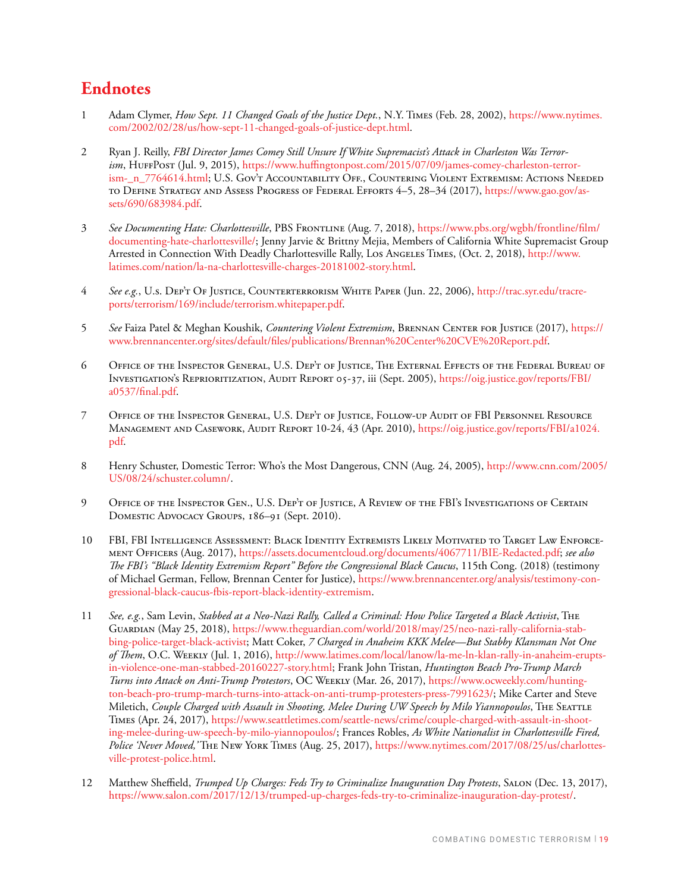# **Endnotes**

- 1 Adam Clymer, *How Sept. 11 Changed Goals of the Justice Dept.*, N.Y. Times (Feb. 28, 2002), [https://www.nytimes.](https://www.nytimes.com/2002/02/28/us/how-sept-11-changed-goals-of-justice-dept.html) [com/2002/02/28/us/how-sept-11-changed-goals-of-justice-dept.html.](https://www.nytimes.com/2002/02/28/us/how-sept-11-changed-goals-of-justice-dept.html)
- 2 Ryan J. Reilly, *FBI Director James Comey Still Unsure If White Supremacist's Attack in Charleston Was Terrorism*, HuffPost (Jul. 9, 2015), [https://www.huffingtonpost.com/2015/07/09/james-comey-charleston-terror](https://www.huffingtonpost.com/2015/07/09/james-comey-charleston-terrorism-_n_7764614.html)ism- n 7764614.html; U.S. Gov't Accountability Off., Countering Violent Extremism: Actions Needed to Define Strategy and Assess Progress of Federal Efforts 4–5, 28–34 (2017), [https://www.gao.gov/as](https://www.gao.gov/assets/690/683984.pdf)[sets/690/683984.pdf.](https://www.gao.gov/assets/690/683984.pdf)
- 3 *See Documenting Hate: Charlottesville*, PBS Frontline (Aug. 7, 2018), [https://www.pbs.org/wgbh/frontline/film/](https://www.pbs.org/wgbh/frontline/film/documenting-hate-charlottesville/) [documenting-hate-charlottesville/;](https://www.pbs.org/wgbh/frontline/film/documenting-hate-charlottesville/) Jenny Jarvie & Brittny Mejia, Members of California White Supremacist Group Arrested in Connection With Deadly Charlottesville Rally, Los Angeles Times, (Oct. 2, 2018), [http://www.](http://www.latimes.com/nation/la-na-charlottesville-charges-20181002-story.html) [latimes.com/nation/la-na-charlottesville-charges-20181002-story.html.](http://www.latimes.com/nation/la-na-charlottesville-charges-20181002-story.html)
- 4 *See e.g.*, U.s. Dep't Of Justice, Counterterrorism White Paper (Jun. 22, 2006), [http://trac.syr.edu/tracre](http://trac.syr.edu/tracreports/terrorism/169/include/terrorism.whitepaper.pdf)[ports/terrorism/169/include/terrorism.whitepaper.pdf.](http://trac.syr.edu/tracreports/terrorism/169/include/terrorism.whitepaper.pdf)
- 5 See Faiza Patel & Meghan Koushik, *Countering Violent Extremism*, BRENNAN CENTER FOR JUSTICE (2017), [https://](https://www.brennancenter.org/sites/default/files/publications/Brennan%20Center%20CVE%20Report.pdf) [www.brennancenter.org/sites/default/files/publications/Brennan%20Center%20CVE%20Report.pdf.](https://www.brennancenter.org/sites/default/files/publications/Brennan%20Center%20CVE%20Report.pdf)
- 6 Office of the Inspector General, U.S. Dep't of Justice, The External Effects of the Federal Bureau of Investigation's Reprioritization, Audit Report 05-37, iii (Sept. 2005), [https://oig.justice.gov/reports/FBI/](https://oig.justice.gov/reports/FBI/a0537/final.pdf) [a0537/final.pdf](https://oig.justice.gov/reports/FBI/a0537/final.pdf).
- 7 Office of the Inspector General, U.S. Dep't of Justice, Follow-up Audit of FBI Personnel Resource Management and Casework, Audit Report 10-24, 43 (Apr. 2010), [https://oig.justice.gov/reports/FBI/a1024.](https://oig.justice.gov/reports/FBI/a1024.pdf) [pdf](https://oig.justice.gov/reports/FBI/a1024.pdf).
- 8 Henry Schuster, Domestic Terror: Who's the Most Dangerous, CNN (Aug. 24, 2005), [http://www.cnn.com/2005/](http://www.cnn.com/2005/US/08/24/schuster.column/) [US/08/24/schuster.column/](http://www.cnn.com/2005/US/08/24/schuster.column/).
- 9 Office of the Inspector Gen., U.S. Dep't of Justice, A Review of the FBI's Investigations of Certain DOMESTIC ADVOCACY GROUPS, 186-91 (Sept. 2010).
- 10 FBI, FBI Intelligence Assessment: Black Identity Extremists Likely Motivated to Target Law Enforcement Officers (Aug. 2017), [https://assets.documentcloud.org/documents/4067711/BIE-Redacted.pdf;](https://assets.documentcloud.org/documents/4067711/BIE-Redacted.pdf) *see also The FBI's "Black Identity Extremism Report" Before the Congressional Black Caucus*, 115th Cong. (2018) (testimony of Michael German, Fellow, Brennan Center for Justice), [https://www.brennancenter.org/analysis/testimony-con](https://www.brennancenter.org/analysis/testimony-congressional-black-caucus-fbis-report-black-identity-extremism)[gressional-black-caucus-fbis-report-black-identity-extremism.](https://www.brennancenter.org/analysis/testimony-congressional-black-caucus-fbis-report-black-identity-extremism)
- 11 *See, e.g.*, Sam Levin, *Stabbed at a Neo-Nazi Rally, Called a Criminal: How Police Targeted a Black Activist*, The Guardian (May 25, 2018), [https://www.theguardian.com/world/2018/may/25/neo-nazi-rally-california-stab](https://www.theguardian.com/world/2018/may/25/neo-nazi-rally-california-stabbing-police-target-black-activist)[bing-police-target-black-activist;](https://www.theguardian.com/world/2018/may/25/neo-nazi-rally-california-stabbing-police-target-black-activist) Matt Coker, *7 Charged in Anaheim KKK Melee—But Stabby Klansman Not One of Them*, O.C. Weekly (Jul. 1, 2016), [http://www.latimes.com/local/lanow/la-me-ln-klan-rally-in-anaheim-erupts](http://www.latimes.com/local/lanow/la-me-ln-klan-rally-in-anaheim-erupts-in-violence-one-man-stabbed-20160227-story.html)[in-violence-one-man-stabbed-20160227-story.html;](http://www.latimes.com/local/lanow/la-me-ln-klan-rally-in-anaheim-erupts-in-violence-one-man-stabbed-20160227-story.html) Frank John Tristan, *Huntington Beach Pro-Trump March Turns into Attack on Anti-Trump Protestors*, OC Weekly (Mar. 26, 2017), [https://www.ocweekly.com/hunting](https://www.ocweekly.com/huntington-beach-pro-trump-march-turns-into-attack-on-anti-trump-protesters-press-7991623/)[ton-beach-pro-trump-march-turns-into-attack-on-anti-trump-protesters-press-7991623/;](https://www.ocweekly.com/huntington-beach-pro-trump-march-turns-into-attack-on-anti-trump-protesters-press-7991623/) Mike Carter and Steve Miletich, *Couple Charged with Assault in Shooting, Melee During UW Speech by Milo Yiannopoulos*, THE SEATTLE Times (Apr. 24, 2017), [https://www.seattletimes.com/seattle-news/crime/couple-charged-with-assault-in-shoot](https://www.seattletimes.com/seattle-news/crime/couple-charged-with-assault-in-shooting-melee-during-uw-speech-by-milo-yiannopoulos/)[ing-melee-during-uw-speech-by-milo-yiannopoulos/;](https://www.seattletimes.com/seattle-news/crime/couple-charged-with-assault-in-shooting-melee-during-uw-speech-by-milo-yiannopoulos/) Frances Robles, *As White Nationalist in Charlottesville Fired, Police 'Never Moved,'* The New York Times (Aug. 25, 2017), [https://www.nytimes.com/2017/08/25/us/charlottes](https://www.nytimes.com/2017/08/25/us/charlottesville-protest-police.html)[ville-protest-police.html](https://www.nytimes.com/2017/08/25/us/charlottesville-protest-police.html).
- 12 Matthew Sheffield, *Trumped Up Charges: Feds Try to Criminalize Inauguration Day Protests*, Salon (Dec. 13, 2017), [https://www.salon.com/2017/12/13/trumped-up-charges-feds-try-to-criminalize-inauguration-day-protest/.](https://www.salon.com/2017/12/13/trumped-up-charges-feds-try-to-criminalize-inauguration-day-protest/)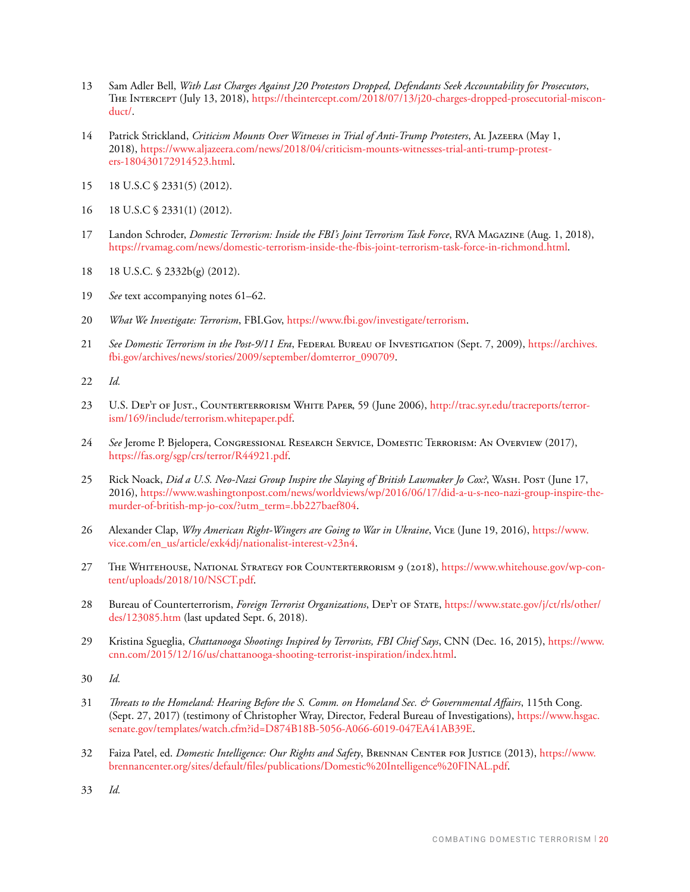- 13 Sam Adler Bell, *With Last Charges Against J20 Protestors Dropped, Defendants Seek Accountability for Prosecutors*, The Intercept (July 13, 2018), [https://theintercept.com/2018/07/13/j20-charges-dropped-prosecutorial-miscon](https://theintercept.com/2018/07/13/j20-charges-dropped-prosecutorial-misconduct/)[duct/](https://theintercept.com/2018/07/13/j20-charges-dropped-prosecutorial-misconduct/).
- 14 Patrick Strickland, *Criticism Mounts Over Witnesses in Trial of Anti-Trump Protesters*, Al Jazeera (May 1, 2018), [https://www.aljazeera.com/news/2018/04/criticism-mounts-witnesses-trial-anti-trump-protest](https://www.aljazeera.com/news/2018/04/criticism-mounts-witnesses-trial-anti-trump-protesters-180430172914523.html)[ers-180430172914523.html](https://www.aljazeera.com/news/2018/04/criticism-mounts-witnesses-trial-anti-trump-protesters-180430172914523.html).
- 15 18 U.S.C § 2331(5) (2012).
- 16 18 U.S.C § 2331(1) (2012).
- 17 Landon Schroder, *Domestic Terrorism: Inside the FBI's Joint Terrorism Task Force*, RVA MAGAZINE (Aug. 1, 2018), [https://rvamag.com/news/domestic-terrorism-inside-the-fbis-joint-terrorism-task-force-in-richmond.html.](https://rvamag.com/news/domestic-terrorism-inside-the-fbis-joint-terrorism-task-force-in-richmond.html)
- 18 18 U.S.C. § 2332b(g) (2012).
- 19 *See* text accompanying notes 61–62.
- 20 *What We Investigate: Terrorism*, FBI.Gov, [https://www.fbi.gov/investigate/terrorism.](https://www.fbi.gov/investigate/terrorism)
- 21 *See Domestic Terrorism in the Post-9/11 Era*, FEDERAL BUREAU OF INVESTIGATION (Sept. 7, 2009), [https://archives.](https://archives.fbi.gov/archives/news/stories/2009/september/domterror_090709) [fbi.gov/archives/news/stories/2009/september/domterror\\_090709](https://archives.fbi.gov/archives/news/stories/2009/september/domterror_090709).
- 22 *Id.*
- 23 U.S. Dep't of Just., COUNTERTERRORISM WHITE PAPER, 59 (June 2006), [http://trac.syr.edu/tracreports/terror](http://trac.syr.edu/tracreports/terrorism/169/include/terrorism.whitepaper.pdf)[ism/169/include/terrorism.whitepaper.pdf](http://trac.syr.edu/tracreports/terrorism/169/include/terrorism.whitepaper.pdf).
- 24 *See* Jerome P. Bjelopera, Congressional Research Service, Domestic Terrorism: An Overview (2017), <https://fas.org/sgp/crs/terror/R44921.pdf>.
- 25 Rick Noack, *Did a U.S. Neo-Nazi Group Inspire the Slaying of British Lawmaker Jo Cox?*, Wash. Post (June 17, 2016), [https://www.washingtonpost.com/news/worldviews/wp/2016/06/17/did-a-u-s-neo-nazi-group-inspire-the](https://www.washingtonpost.com/news/worldviews/wp/2016/06/17/did-a-u-s-neo-nazi-group-inspire-the-murder-of-british-mp-jo-cox/?utm_term=.bb227baef804)[murder-of-british-mp-jo-cox/?utm\\_term=.bb227baef804](https://www.washingtonpost.com/news/worldviews/wp/2016/06/17/did-a-u-s-neo-nazi-group-inspire-the-murder-of-british-mp-jo-cox/?utm_term=.bb227baef804).
- 26 Alexander Clap, *Why American Right-Wingers are Going to War in Ukraine*, Vice (June 19, 2016), [https://www.](https://www.vice.com/en_us/article/exk4dj/nationalist-interest-v23n4) [vice.com/en\\_us/article/exk4dj/nationalist-interest-v23n4](https://www.vice.com/en_us/article/exk4dj/nationalist-interest-v23n4).
- 27 THE WHITEHOUSE, NATIONAL STRATEGY FOR COUNTERTERRORISM 9 (2018), [https://www.whitehouse.gov/wp-con](https://www.whitehouse.gov/wp-content/uploads/2018/10/NSCT.pdf)[tent/uploads/2018/10/NSCT.pdf.](https://www.whitehouse.gov/wp-content/uploads/2018/10/NSCT.pdf)
- 28 Bureau of Counterterrorism, *Foreign Terrorist Organizations*, DEP'T OF STATE, [https://www.state.gov/j/ct/rls/other/](https://www.state.gov/j/ct/rls/other/des/123085.htm) [des/123085.htm](https://www.state.gov/j/ct/rls/other/des/123085.htm) (last updated Sept. 6, 2018).
- 29 Kristina Sgueglia, *Chattanooga Shootings Inspired by Terrorists, FBI Chief Says*, CNN (Dec. 16, 2015), [https://www.](https://www.cnn.com/2015/12/16/us/chattanooga-shooting-terrorist-inspiration/index.html) [cnn.com/2015/12/16/us/chattanooga-shooting-terrorist-inspiration/index.html.](https://www.cnn.com/2015/12/16/us/chattanooga-shooting-terrorist-inspiration/index.html)
- 30 *Id.*
- 31 *Threats to the Homeland: Hearing Before the S. Comm. on Homeland Sec. & Governmental Affairs*, 115th Cong. (Sept. 27, 2017) (testimony of Christopher Wray, Director, Federal Bureau of Investigations), [https://www.hsgac.](https://www.hsgac.senate.gov/templates/watch.cfm?id=D874B18B-5056-A066-6019-047EA41AB39E) [senate.gov/templates/watch.cfm?id=D874B18B-5056-A066-6019-047EA41AB39E](https://www.hsgac.senate.gov/templates/watch.cfm?id=D874B18B-5056-A066-6019-047EA41AB39E).
- 32 Faiza Patel, ed. *Domestic Intelligence: Our Rights and Safety*, Brennan Center for Justice (2013), [https://www.](https://www.brennancenter.org/sites/default/files/publications/Domestic%20Intelligence%20FINAL.pdf) [brennancenter.org/sites/default/files/publications/Domestic%20Intelligence%20FINAL.pdf](https://www.brennancenter.org/sites/default/files/publications/Domestic%20Intelligence%20FINAL.pdf).
- 33 *Id.*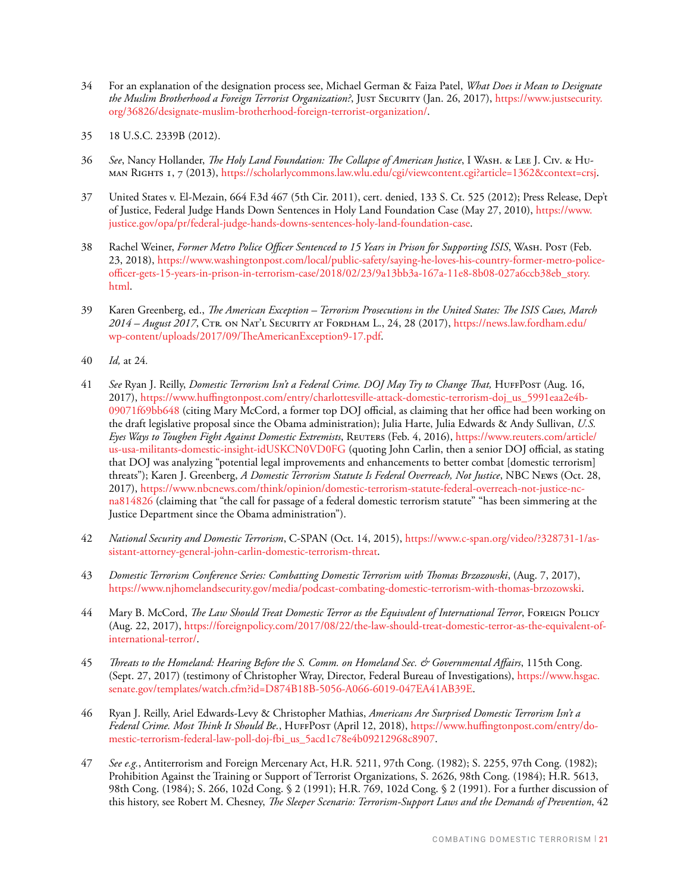- 34 For an explanation of the designation process see, Michael German & Faiza Patel, *What Does it Mean to Designate the Muslim Brotherhood a Foreign Terrorist Organization?*, Just Security (Jan. 26, 2017), [https://www.justsecurity.](https://www.justsecurity.org/36826/designate-muslim-brotherhood-foreign-terrorist-organization/) [org/36826/designate-muslim-brotherhood-foreign-terrorist-organization/](https://www.justsecurity.org/36826/designate-muslim-brotherhood-foreign-terrorist-organization/).
- 35 18 U.S.C. 2339B (2012).
- 36 *See*, Nancy Hollander, *The Holy Land Foundation: The Collapse of American Justice*, I Wash. & Lee J. Civ. & Human Rights 1, 7 (2013),<https://scholarlycommons.law.wlu.edu/cgi/viewcontent.cgi?article=1362&context=crsj>.
- 37 United States v. El-Mezain, 664 F.3d 467 (5th Cir. 2011), cert. denied, 133 S. Ct. 525 (2012); Press Release, Dep't of Justice, Federal Judge Hands Down Sentences in Holy Land Foundation Case (May 27, 2010), [https://www.](https://www.justice.gov/opa/pr/federal-judge-hands-downs-sentences-holy-land-foundation-case) [justice.gov/opa/pr/federal-judge-hands-downs-sentences-holy-land-foundation-case](https://www.justice.gov/opa/pr/federal-judge-hands-downs-sentences-holy-land-foundation-case).
- 38 Rachel Weiner, *Former Metro Police Officer Sentenced to 15 Years in Prison for Supporting ISIS*, Wash. Post (Feb. 23, 2018), [https://www.washingtonpost.com/local/public-safety/saying-he-loves-his-country-former-metro-police](https://www.washingtonpost.com/local/public-safety/saying-he-loves-his-country-former-metro-police-officer-gets-15-years-in-prison-in-terrorism-case/2018/02/23/9a13bb3a-167a-11e8-8b08-027a6ccb38eb_story.html?utm_term=.9c5a0475948c)[officer-gets-15-years-in-prison-in-terrorism-case/2018/02/23/9a13bb3a-167a-11e8-8b08-027a6ccb38eb\\_story.](https://www.washingtonpost.com/local/public-safety/saying-he-loves-his-country-former-metro-police-officer-gets-15-years-in-prison-in-terrorism-case/2018/02/23/9a13bb3a-167a-11e8-8b08-027a6ccb38eb_story.html?utm_term=.9c5a0475948c) [html](https://www.washingtonpost.com/local/public-safety/saying-he-loves-his-country-former-metro-police-officer-gets-15-years-in-prison-in-terrorism-case/2018/02/23/9a13bb3a-167a-11e8-8b08-027a6ccb38eb_story.html?utm_term=.9c5a0475948c).
- 39 Karen Greenberg, ed., *The American Exception Terrorism Prosecutions in the United States: The ISIS Cases, March 2014 – August 2017*, Ctr. on Nat'l Security at Fordham L., 24, 28 (2017), [https://news.law.fordham.edu/](https://news.law.fordham.edu/wp-content/uploads/2017/09/TheAmericanException9-17.pdf) [wp-content/uploads/2017/09/TheAmericanException9-17.pdf](https://news.law.fordham.edu/wp-content/uploads/2017/09/TheAmericanException9-17.pdf).
- 40 *Id,* at 24*.*
- 41 *See* Ryan J. Reilly, *Domestic Terrorism Isn't a Federal Crime. DOJ May Try to Change That,* HuffPost (Aug. 16, 2017), [https://www.huffingtonpost.com/entry/charlottesville-attack-domestic-terrorism-doj\\_us\\_5991eaa2e4b-](https://www.huffingtonpost.com/entry/charlottesville-attack-domestic-terrorism-doj_us_5991eaa2e4b09071f69bb648)[09071f69bb648](https://www.huffingtonpost.com/entry/charlottesville-attack-domestic-terrorism-doj_us_5991eaa2e4b09071f69bb648) (citing Mary McCord, a former top DOJ official, as claiming that her office had been working on the draft legislative proposal since the Obama administration); Julia Harte, Julia Edwards & Andy Sullivan, *U.S. Eyes Ways to Toughen Fight Against Domestic Extremists*, Reuters (Feb. 4, 2016), [https://www.reuters.com/article/](https://www.reuters.com/article/us-usa-militants-domestic-insight-idUSKCN0VD0FG) [us-usa-militants-domestic-insight-idUSKCN0VD0FG](https://www.reuters.com/article/us-usa-militants-domestic-insight-idUSKCN0VD0FG) (quoting John Carlin, then a senior DOJ official, as stating that DOJ was analyzing "potential legal improvements and enhancements to better combat [domestic terrorism] threats"); Karen J. Greenberg, *A Domestic Terrorism Statute Is Federal Overreach, Not Justice*, NBC News (Oct. 28, 2017), [https://www.nbcnews.com/think/opinion/domestic-terrorism-statute-federal-overreach-not-justice-nc](https://www.nbcnews.com/think/opinion/domestic-terrorism-statute-federal-overreach-not-justice-ncna814826)[na814826](https://www.nbcnews.com/think/opinion/domestic-terrorism-statute-federal-overreach-not-justice-ncna814826) (claiming that "the call for passage of a federal domestic terrorism statute" "has been simmering at the Justice Department since the Obama administration").
- 42 *National Security and Domestic Terrorism*, C-SPAN (Oct. 14, 2015), [https://www.c-span.org/video/?328731-1/as](https://www.c-span.org/video/?328731-1/assistant-attorney-general-john-carlin-domestic-terrorism-threat)[sistant-attorney-general-john-carlin-domestic-terrorism-threat.](https://www.c-span.org/video/?328731-1/assistant-attorney-general-john-carlin-domestic-terrorism-threat)
- 43 *Domestic Terrorism Conference Series: Combatting Domestic Terrorism with Thomas Brzozowski*, (Aug. 7, 2017), <https://www.njhomelandsecurity.gov/media/podcast-combating-domestic-terrorism-with-thomas-brzozowski>.
- 44 Mary B. McCord, *The Law Should Treat Domestic Terror as the Equivalent of International Terror*, Foreign Policy (Aug. 22, 2017), [https://foreignpolicy.com/2017/08/22/the-law-should-treat-domestic-terror-as-the-equivalent-of](https://foreignpolicy.com/2017/08/22/the-law-should-treat-domestic-terror-as-the-equivalent-of-international-terror/)[international-terror/](https://foreignpolicy.com/2017/08/22/the-law-should-treat-domestic-terror-as-the-equivalent-of-international-terror/).
- 45 *Threats to the Homeland: Hearing Before the S. Comm. on Homeland Sec. & Governmental Affairs*, 115th Cong. (Sept. 27, 2017) (testimony of Christopher Wray, Director, Federal Bureau of Investigations), [https://www.hsgac.](https://www.hsgac.senate.gov/templates/watch.cfm?id=D874B18B-5056-A066-6019-047EA41AB39E) [senate.gov/templates/watch.cfm?id=D874B18B-5056-A066-6019-047EA41AB39E](https://www.hsgac.senate.gov/templates/watch.cfm?id=D874B18B-5056-A066-6019-047EA41AB39E).
- 46 Ryan J. Reilly, Ariel Edwards-Levy & Christopher Mathias, *Americans Are Surprised Domestic Terrorism Isn't a*  Federal Crime. Most Think It Should Be., HUFFPOST (April 12, 2018), [https://www.huffingtonpost.com/entry/do](https://www.huffingtonpost.com/entry/domestic-terrorism-federal-law-poll-doj-fbi_us_5acd1c78e4b09212968c8907)[mestic-terrorism-federal-law-poll-doj-fbi\\_us\\_5acd1c78e4b09212968c8907.](https://www.huffingtonpost.com/entry/domestic-terrorism-federal-law-poll-doj-fbi_us_5acd1c78e4b09212968c8907)
- 47 *See e.g.*, Antiterrorism and Foreign Mercenary Act, H.R. 5211, 97th Cong. (1982); S. 2255, 97th Cong. (1982); Prohibition Against the Training or Support of Terrorist Organizations, S. 2626, 98th Cong. (1984); H.R. 5613, 98th Cong. (1984); S. 266, 102d Cong. § 2 (1991); H.R. 769, 102d Cong. § 2 (1991). For a further discussion of this history, see Robert M. Chesney, *The Sleeper Scenario: Terrorism-Support Laws and the Demands of Prevention*, 42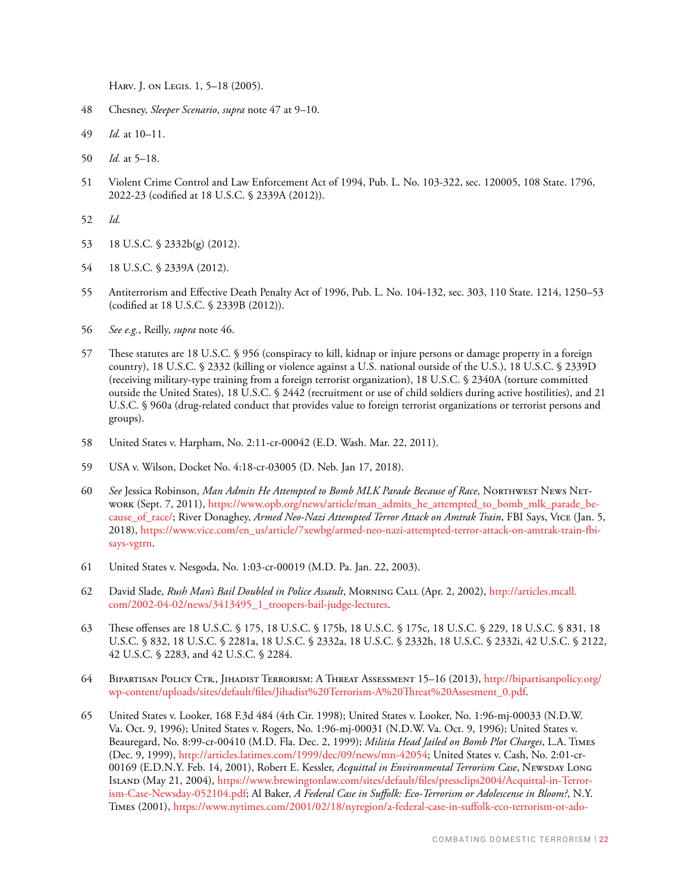Harv. J. on Legis. 1, 5–18 (2005).

- 48 Chesney, *Sleeper Scenario*, *supra* note 47 at 9–10.
- 49 *Id.* at 10–11.
- 50 *Id.* at 5–18.
- 51 Violent Crime Control and Law Enforcement Act of 1994, Pub. L. No. 103-322, sec. 120005, 108 State. 1796, 2022-23 (codified at 18 U.S.C. § 2339A (2012)).
- 52 *Id.*
- 53 18 U.S.C. § 2332b(g) (2012).
- 54 18 U.S.C. § 2339A (2012).
- 55 Antiterrorism and Effective Death Penalty Act of 1996, Pub. L. No. 104-132, sec. 303, 110 State. 1214, 1250–53 (codified at 18 U.S.C. § 2339B (2012)).
- 56 *See e.g.*, Reilly, *supra* note 46.
- 57 These statutes are 18 U.S.C. § 956 (conspiracy to kill, kidnap or injure persons or damage property in a foreign country), 18 U.S.C. § 2332 (killing or violence against a U.S. national outside of the U.S.), 18 U.S.C. § 2339D (receiving military-type training from a foreign terrorist organization), 18 U.S.C. § 2340A (torture committed outside the United States), 18 U.S.C. § 2442 (recruitment or use of child soldiers during active hostilities), and 21 U.S.C. § 960a (drug-related conduct that provides value to foreign terrorist organizations or terrorist persons and groups).
- 58 United States v. Harpham, No. 2:11-cr-00042 (E.D. Wash. Mar. 22, 2011).
- 59 USA v. Wilson, Docket No. 4:18-cr-03005 (D. Neb. Jan 17, 2018).
- 60 *See* Jessica Robinson, *Man Admits He Attempted to Bomb MLK Parade Because of Race*, Northwest News Network (Sept. 7, 2011), [https://www.opb.org/news/article/man\\_admits\\_he\\_attempted\\_to\\_bomb\\_mlk\\_parade\\_be](https://www.opb.org/news/article/man_admits_he_attempted_to_bomb_mlk_parade_because_of_race/)[cause\\_of\\_race/](https://www.opb.org/news/article/man_admits_he_attempted_to_bomb_mlk_parade_because_of_race/); River Donaghey, *Armed Neo-Nazi Attempted Terror Attack on Amtrak Train*, FBI Says, Vice (Jan. 5, 2018), [https://www.vice.com/en\\_us/article/7xewbg/armed-neo-nazi-attempted-terror-attack-on-amtrak-train-fbi](https://www.vice.com/en_us/article/7xewbg/armed-neo-nazi-attempted-terror-attack-on-amtrak-train-fbi-says-vgtrn)[says-vgtrn](https://www.vice.com/en_us/article/7xewbg/armed-neo-nazi-attempted-terror-attack-on-amtrak-train-fbi-says-vgtrn).
- 61 United States v. Nesgoda, No. 1:03-cr-00019 (M.D. Pa. Jan. 22, 2003).
- 62 David Slade, *Rush Man's Bail Doubled in Police Assault*, Morning Call (Apr. 2, 2002), [http://articles.mcall.](http://articles.mcall.com/2002-04-02/news/3413495_1_troopers-bail-judge-lectures) [com/2002-04-02/news/3413495\\_1\\_troopers-bail-judge-lectures](http://articles.mcall.com/2002-04-02/news/3413495_1_troopers-bail-judge-lectures).
- 63 These offenses are 18 U.S.C. § 175, 18 U.S.C. § 175b, 18 U.S.C. § 175c, 18 U.S.C. § 229, 18 U.S.C. § 831, 18 U.S.C. § 832, 18 U.S.C. § 2281a, 18 U.S.C. § 2332a, 18 U.S.C. § 2332h, 18 U.S.C. § 2332i, 42 U.S.C. § 2122, 42 U.S.C. § 2283, and 42 U.S.C. § 2284.
- 64 Bipartisan Policy Ctr., Jihadist Terrorism: A Threat Assessment 15–16 (2013), [http://bipartisanpolicy.org/](http://bipartisanpolicy.org/wp-content/uploads/sites/default/files/Jihadist%20Terrorism-A%20Threat%20Assesment_0.pdf) [wp-content/uploads/sites/default/files/Jihadist%20Terrorism-A%20Threat%20Assesment\\_0.pdf](http://bipartisanpolicy.org/wp-content/uploads/sites/default/files/Jihadist%20Terrorism-A%20Threat%20Assesment_0.pdf).
- 65 United States v. Looker, 168 F.3d 484 (4th Cir. 1998); United States v. Looker, No. 1:96-mj-00033 (N.D.W. Va. Oct. 9, 1996); United States v. Rogers, No. 1:96-mj-00031 (N.D.W. Va. Oct. 9, 1996); United States v. Beauregard, No. 8:99-cr-00410 (M.D. Fla. Dec. 2, 1999); *Militia Head Jailed on Bomb Plot Charges*, L.A. Times (Dec. 9, 1999), <http://articles.latimes.com/1999/dec/09/news/mn-42054>; United States v. Cash, No. 2:01-cr-00169 (E.D.N.Y. Feb. 14, 2001), Robert E. Kessler, *Acquittal in Environmental Terrorism Case*, Newsday Long Island (May 21, 2004), [https://www.brewingtonlaw.com/sites/default/files/pressclips2004/Acquittal-in-Terror](https://www.brewingtonlaw.com/sites/default/files/pressclips2004/Acquittal-in-Terrorism-Case-Newsday-052104.pdf)[ism-Case-Newsday-052104.pdf](https://www.brewingtonlaw.com/sites/default/files/pressclips2004/Acquittal-in-Terrorism-Case-Newsday-052104.pdf); Al Baker, *A Federal Case in Suffolk: Eco-Terrorism or Adolescense in Bloom?*, N.Y. Times (2001), [https://www.nytimes.com/2001/02/18/nyregion/a-federal-case-in-suffolk-eco-terrorism-or-ado-](https://www.nytimes.com/2001/02/18/nyregion/a-federal-case-in-suffolk-eco-terrorism-or-adolescence-in-bloom.html)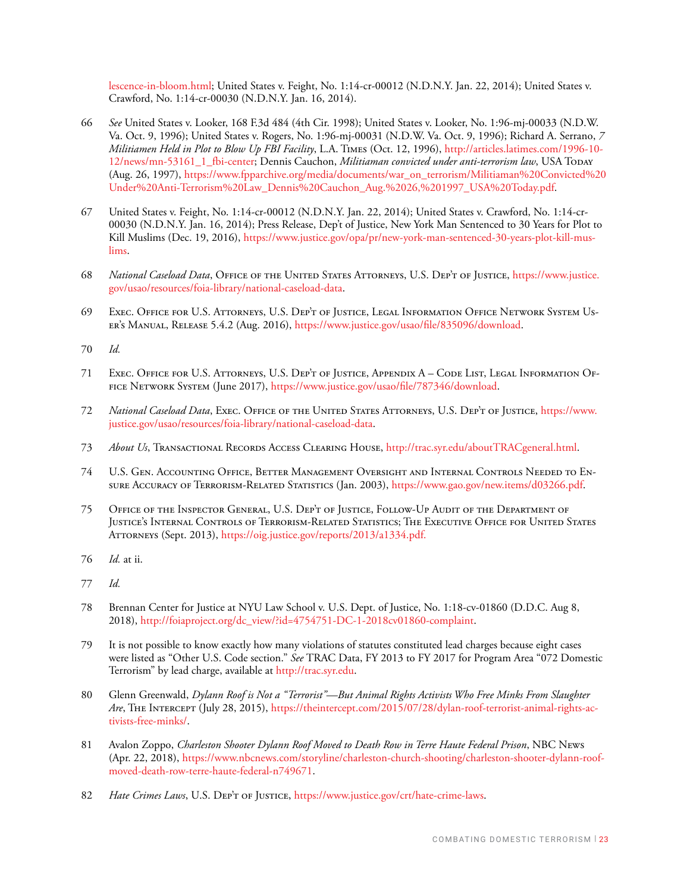[lescence-in-bloom.html;](https://www.nytimes.com/2001/02/18/nyregion/a-federal-case-in-suffolk-eco-terrorism-or-adolescence-in-bloom.html) United States v. Feight, No. 1:14-cr-00012 (N.D.N.Y. Jan. 22, 2014); United States v. Crawford, No. 1:14-cr-00030 (N.D.N.Y. Jan. 16, 2014).

- 66 *See* United States v. Looker, 168 F.3d 484 (4th Cir. 1998); United States v. Looker, No. 1:96-mj-00033 (N.D.W. Va. Oct. 9, 1996); United States v. Rogers, No. 1:96-mj-00031 (N.D.W. Va. Oct. 9, 1996); Richard A. Serrano, *7 Militiamen Held in Plot to Blow Up FBI Facility*, L.A. Times (Oct. 12, 1996), [http://articles.latimes.com/1996-10-](http://articles.latimes.com/1996-10-12/news/mn-53161_1_fbi-center) [12/news/mn-53161\\_1\\_fbi-center;](http://articles.latimes.com/1996-10-12/news/mn-53161_1_fbi-center) Dennis Cauchon, *Militiaman convicted under anti-terrorism law*, USA Today (Aug. 26, 1997), [https://www.fpparchive.org/media/documents/war\\_on\\_terrorism/Militiaman%20Convicted%20](https://www.fpparchive.org/media/documents/war_on_terrorism/Militiaman%20Convicted%20Under%20Anti-Terrorism%20Law_Dennis%20Cauchon_Aug.%2026,%201997_USA%20Today.pdf) [Under%20Anti-Terrorism%20Law\\_Dennis%20Cauchon\\_Aug.%2026,%201997\\_USA%20Today.pdf](https://www.fpparchive.org/media/documents/war_on_terrorism/Militiaman%20Convicted%20Under%20Anti-Terrorism%20Law_Dennis%20Cauchon_Aug.%2026,%201997_USA%20Today.pdf).
- 67 United States v. Feight, No. 1:14-cr-00012 (N.D.N.Y. Jan. 22, 2014); United States v. Crawford, No. 1:14-cr-00030 (N.D.N.Y. Jan. 16, 2014); Press Release, Dep't of Justice, New York Man Sentenced to 30 Years for Plot to Kill Muslims (Dec. 19, 2016), [https://www.justice.gov/opa/pr/new-york-man-sentenced-30-years-plot-kill-mus](https://www.justice.gov/opa/pr/new-york-man-sentenced-30-years-plot-kill-muslims)[lims.](https://www.justice.gov/opa/pr/new-york-man-sentenced-30-years-plot-kill-muslims)
- 68 *National Caseload Data*, Office of the United States Attorneys, U.S. Dep't of Justice, [https://www.justice.](https://www.justice.gov/usao/resources/foia-library/national-caseload-data) [gov/usao/resources/foia-library/national-caseload-data.](https://www.justice.gov/usao/resources/foia-library/national-caseload-data)
- 69 Exec. Office for U.S. Attorneys, U.S. Dep't of Justice, Legal Information Office Network System User's Manual, Release 5.4.2 (Aug. 2016), <https://www.justice.gov/usao/file/835096/download>.
- 70 *Id.*
- 71 Exec. Office for U.S. Attorneys, U.S. Dep't of Justice, Appendix A Code List, Legal Information Office Network System (June 2017),<https://www.justice.gov/usao/file/787346/download>.
- 72 *National Caseload Data*, Exec. Office of the United States Attorneys, U.S. Dep't of Justice, [https://www.](https://www.justice.gov/usao/resources/foia-library/national-caseload-data) [justice.gov/usao/resources/foia-library/national-caseload-data.](https://www.justice.gov/usao/resources/foia-library/national-caseload-data)
- 73 *About Us*, Transactional Records Access Clearing House, <http://trac.syr.edu/aboutTRACgeneral.html>.
- 74 U.S. Gen. Accounting Office, Better Management Oversight and Internal Controls Needed to Ensure Accuracy of Terrorism-Related Statistics (Jan. 2003), <https://www.gao.gov/new.items/d03266.pdf>.
- 75 Office of the Inspector General, U.S. Dep't of Justice, Follow-Up Audit of the Department of Justice's Internal Controls of Terrorism-Related Statistics; The Executive Office for United States ATTORNEYS (Sept. 2013), [https://oig.justice.gov/reports/2013/a1334.pdf.](https://oig.justice.gov/reports/2013/a1334.pdf)
- 76 *Id.* at ii.
- 77 *Id.*
- 78 Brennan Center for Justice at NYU Law School v. U.S. Dept. of Justice, No. 1:18-cv-01860 (D.D.C. Aug 8, 2018), [http://foiaproject.org/dc\\_view/?id=4754751-DC-1-2018cv01860-complaint](http://foiaproject.org/dc_view/?id=4754751-DC-1-2018cv01860-complaint).
- 79 It is not possible to know exactly how many violations of statutes constituted lead charges because eight cases were listed as "Other U.S. Code section." *See* TRAC Data, FY 2013 to FY 2017 for Program Area "072 Domestic Terrorism" by lead charge, available at <http://trac.syr.edu>.
- 80 Glenn Greenwald, *Dylann Roof is Not a "Terrorist"—But Animal Rights Activists Who Free Minks From Slaughter Are*, The Intercept (July 28, 2015), [https://theintercept.com/2015/07/28/dylan-roof-terrorist-animal-rights-ac](https://theintercept.com/2015/07/28/dylan-roof-terrorist-animal-rights-activists-free-minks/)[tivists-free-minks/](https://theintercept.com/2015/07/28/dylan-roof-terrorist-animal-rights-activists-free-minks/).
- 81 Avalon Zoppo, *Charleston Shooter Dylann Roof Moved to Death Row in Terre Haute Federal Prison*, NBC News (Apr. 22, 2018), [https://www.nbcnews.com/storyline/charleston-church-shooting/charleston-shooter-dylann-roof](https://www.nbcnews.com/storyline/charleston-church-shooting/charleston-shooter-dylann-roof-moved-death-row-terre-haute-federal-n749671)[moved-death-row-terre-haute-federal-n749671](https://www.nbcnews.com/storyline/charleston-church-shooting/charleston-shooter-dylann-roof-moved-death-row-terre-haute-federal-n749671).
- 82 *Hate Crimes Laws*, U.S. DEP'T OF JUSTICE,<https://www.justice.gov/crt/hate-crime-laws>.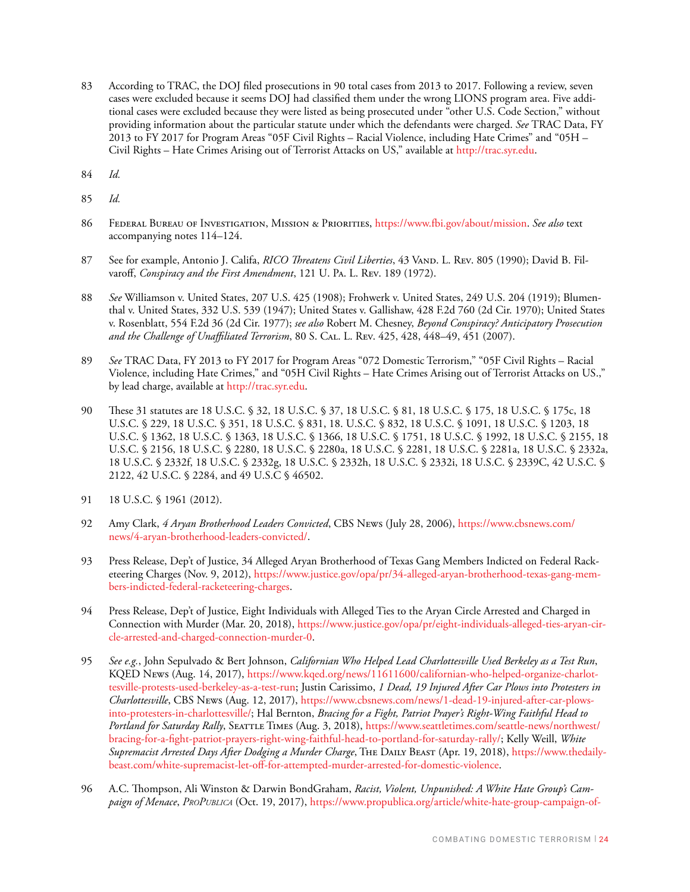- 83 According to TRAC, the DOJ filed prosecutions in 90 total cases from 2013 to 2017. Following a review, seven cases were excluded because it seems DOJ had classified them under the wrong LIONS program area. Five additional cases were excluded because they were listed as being prosecuted under "other U.S. Code Section," without providing information about the particular statute under which the defendants were charged. *See* TRAC Data, FY 2013 to FY 2017 for Program Areas "05F Civil Rights – Racial Violence, including Hate Crimes" and "05H – Civil Rights – Hate Crimes Arising out of Terrorist Attacks on US," available at <http://trac.syr.edu>.
- 84 *Id.*
- 85 *Id.*
- 86 Federal Bureau of Investigation, Mission & Priorities, [https://www.fbi.gov/about/mission.](https://www.fbi.gov/about/mission) *See also* text accompanying notes 114–124.
- 87 See for example, Antonio J. Califa, *RICO Threatens Civil Liberties*, 43 VAND. L. REV. 805 (1990); David B. Filvaroff, *Conspiracy and the First Amendment*, 121 U. Pa. L. Rev. 189 (1972).
- 88 *See* Williamson v. United States, 207 U.S. 425 (1908); Frohwerk v. United States, 249 U.S. 204 (1919); Blumenthal v. United States, 332 U.S. 539 (1947); United States v. Gallishaw, 428 F.2d 760 (2d Cir. 1970); United States v. Rosenblatt, 554 F.2d 36 (2d Cir. 1977); *see also* Robert M. Chesney, *Beyond Conspiracy? Anticipatory Prosecution and the Challenge of Unaffiliated Terrorism*, 80 S. Cal. L. Rev. 425, 428, 448–49, 451 (2007).
- 89 *See* TRAC Data, FY 2013 to FY 2017 for Program Areas "072 Domestic Terrorism," "05F Civil Rights Racial Violence, including Hate Crimes," and "05H Civil Rights – Hate Crimes Arising out of Terrorist Attacks on US.," by lead charge, available at [http://trac.syr.edu.](http://trac.syr.edu)
- 90 These 31 statutes are 18 U.S.C. § 32, 18 U.S.C. § 37, 18 U.S.C. § 81, 18 U.S.C. § 175, 18 U.S.C. § 175c, 18 U.S.C. § 229, 18 U.S.C. § 351, 18 U.S.C. § 831, 18. U.S.C. § 832, 18 U.S.C. § 1091, 18 U.S.C. § 1203, 18 U.S.C. § 1362, 18 U.S.C. § 1363, 18 U.S.C. § 1366, 18 U.S.C. § 1751, 18 U.S.C. § 1992, 18 U.S.C. § 2155, 18 U.S.C. § 2156, 18 U.S.C. § 2280, 18 U.S.C. § 2280a, 18 U.S.C. § 2281, 18 U.S.C. § 2281a, 18 U.S.C. § 2332a, 18 U.S.C. § 2332f, 18 U.S.C. § 2332g, 18 U.S.C. § 2332h, 18 U.S.C. § 2332i, 18 U.S.C. § 2339C, 42 U.S.C. § 2122, 42 U.S.C. § 2284, and 49 U.S.C § 46502.
- 91 18 U.S.C. § 1961 (2012).
- 92 Amy Clark, *4 Aryan Brotherhood Leaders Convicted*, CBS News (July 28, 2006), [https://www.cbsnews.com/](https://www.cbsnews.com/news/4-aryan-brotherhood-leaders-convicted/) [news/4-aryan-brotherhood-leaders-convicted/.](https://www.cbsnews.com/news/4-aryan-brotherhood-leaders-convicted/)
- 93 Press Release, Dep't of Justice, 34 Alleged Aryan Brotherhood of Texas Gang Members Indicted on Federal Racketeering Charges (Nov. 9, 2012), [https://www.justice.gov/opa/pr/34-alleged-aryan-brotherhood-texas-gang-mem](https://www.justice.gov/opa/pr/34-alleged-aryan-brotherhood-texas-gang-members-indicted-federal-racketeering-charges)[bers-indicted-federal-racketeering-charges](https://www.justice.gov/opa/pr/34-alleged-aryan-brotherhood-texas-gang-members-indicted-federal-racketeering-charges).
- 94 Press Release, Dep't of Justice, Eight Individuals with Alleged Ties to the Aryan Circle Arrested and Charged in Connection with Murder (Mar. 20, 2018), [https://www.justice.gov/opa/pr/eight-individuals-alleged-ties-aryan-cir](https://www.justice.gov/opa/pr/eight-individuals-alleged-ties-aryan-circle-arrested-and-charged-connection-murder-0)[cle-arrested-and-charged-connection-murder-0](https://www.justice.gov/opa/pr/eight-individuals-alleged-ties-aryan-circle-arrested-and-charged-connection-murder-0).
- 95 *See e.g.*, John Sepulvado & Bert Johnson, *Californian Who Helped Lead Charlottesville Used Berkeley as a Test Run*, KQED News (Aug. 14, 2017), [https://www.kqed.org/news/11611600/californian-who-helped-organize-charlot](https://www.kqed.org/news/11611600/californian-who-helped-organize-charlottesville-protests-used-berkeley-as-a-test-run)[tesville-protests-used-berkeley-as-a-test-run](https://www.kqed.org/news/11611600/californian-who-helped-organize-charlottesville-protests-used-berkeley-as-a-test-run); Justin Carissimo, *1 Dead, 19 Injured After Car Plows into Protesters in Charlottesville*, CBS News (Aug. 12, 2017), [https://www.cbsnews.com/news/1-dead-19-injured-after-car-plows](https://www.cbsnews.com/news/1-dead-19-injured-after-car-plows-into-protesters-in-charlottesville/)[into-protesters-in-charlottesville/;](https://www.cbsnews.com/news/1-dead-19-injured-after-car-plows-into-protesters-in-charlottesville/) Hal Bernton, *Bracing for a Fight, Patriot Prayer's Right-Wing Faithful Head to Portland for Saturday Rally*, Seattle Times (Aug. 3, 2018), [https://www.seattletimes.com/seattle-news/northwest/](https://www.seattletimes.com/seattle-news/northwest/bracing-for-a-fight-patriot-prayers-right-wing-faithful-head-to-portland-for-saturday-rally/) [bracing-for-a-fight-patriot-prayers-right-wing-faithful-head-to-portland-for-saturday-rally/](https://www.seattletimes.com/seattle-news/northwest/bracing-for-a-fight-patriot-prayers-right-wing-faithful-head-to-portland-for-saturday-rally/); Kelly Weill, *White Supremacist Arrested Days After Dodging a Murder Charge*, The Daily Beast (Apr. 19, 2018), [https://www.thedaily](https://www.thedailybeast.com/white-supremacist-let-off-for-attempted-murder-arrested-for-domestic-violence)[beast.com/white-supremacist-let-off-for-attempted-murder-arrested-for-domestic-violence.](https://www.thedailybeast.com/white-supremacist-let-off-for-attempted-murder-arrested-for-domestic-violence)
- 96 A.C. Thompson, Ali Winston & Darwin BondGraham, *Racist, Violent, Unpunished: A White Hate Group's Campaign of Menace*, *ProPublica* (Oct. 19, 2017), [https://www.propublica.org/article/white-hate-group-campaign-of-](https://www.propublica.org/article/white-hate-group-campaign-of-menace-rise-above-movement)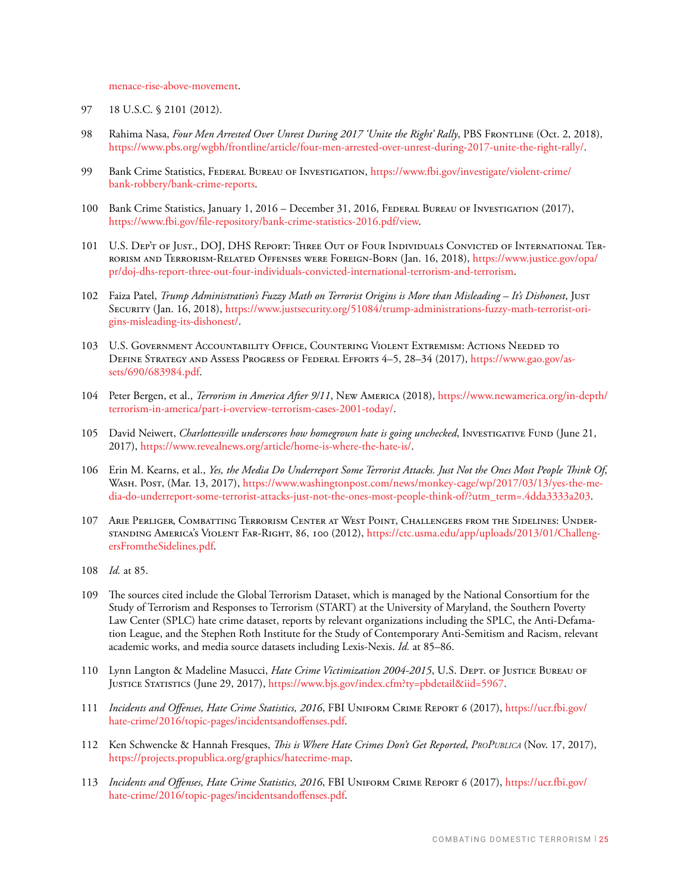[menace-rise-above-movement](https://www.propublica.org/article/white-hate-group-campaign-of-menace-rise-above-movement).

- 97 18 U.S.C. § 2101 (2012).
- 98 Rahima Nasa, *Four Men Arrested Over Unrest During 2017 'Unite the Right' Rally*, PBS FRONTLINE (Oct. 2, 2018), <https://www.pbs.org/wgbh/frontline/article/four-men-arrested-over-unrest-during-2017-unite-the-right-rally/>.
- 99 Bank Crime Statistics, Federal Bureau of Investigation, [https://www.fbi.gov/investigate/violent-crime/](https://www.fbi.gov/investigate/violent-crime/bank-robbery/bank-crime-reports) [bank-robbery/bank-crime-reports](https://www.fbi.gov/investigate/violent-crime/bank-robbery/bank-crime-reports).
- 100 Bank Crime Statistics, January 1, 2016 December 31, 2016, FEDERAL BUREAU OF INVESTIGATION (2017), <https://www.fbi.gov/file-repository/bank-crime-statistics-2016.pdf/view>.
- 101 U.S. Dep't of Just., DOJ, DHS Report: Three Out of Four Individuals Convicted of International Terrorism and Terrorism-Related Offenses were Foreign-Born (Jan. 16, 2018), [https://www.justice.gov/opa/](https://www.justice.gov/opa/pr/doj-dhs-report-three-out-four-individuals-convicted-international-terrorism-and-terrorism) [pr/doj-dhs-report-three-out-four-individuals-convicted-international-terrorism-and-terrorism.](https://www.justice.gov/opa/pr/doj-dhs-report-three-out-four-individuals-convicted-international-terrorism-and-terrorism)
- 102 Faiza Patel, *Trump Administration's Fuzzy Math on Terrorist Origins is More than Misleading It's Dishonest*, Just Security (Jan. 16, 2018), [https://www.justsecurity.org/51084/trump-administrations-fuzzy-math-terrorist-ori](https://www.justsecurity.org/51084/trump-administrations-fuzzy-math-terrorist-origins-misleading-its-dishonest/)[gins-misleading-its-dishonest/.](https://www.justsecurity.org/51084/trump-administrations-fuzzy-math-terrorist-origins-misleading-its-dishonest/)
- 103 U.S. Government Accountability Office, Countering Violent Extremism: Actions Needed to Define Strategy and Assess Progress of Federal Efforts 4–5, 28–34 (2017), [https://www.gao.gov/as](https://www.gao.gov/assets/690/683984.pdf)[sets/690/683984.pdf.](https://www.gao.gov/assets/690/683984.pdf)
- 104 Peter Bergen, et al., *Terrorism in America After 9/11*, New America (2018), [https://www.newamerica.org/in-depth/](https://www.newamerica.org/in-depth/terrorism-in-america/part-i-overview-terrorism-cases-2001-today/) [terrorism-in-america/part-i-overview-terrorism-cases-2001-today/](https://www.newamerica.org/in-depth/terrorism-in-america/part-i-overview-terrorism-cases-2001-today/).
- 105 David Neiwert, Charlottesville underscores how homegrown hate is going unchecked, Investigative Fund (June 21, 2017), <https://www.revealnews.org/article/home-is-where-the-hate-is/>.
- 106 Erin M. Kearns, et al., *Yes, the Media Do Underreport Some Terrorist Attacks. Just Not the Ones Most People Think Of*, Wash. Post, (Mar. 13, 2017), [https://www.washingtonpost.com/news/monkey-cage/wp/2017/03/13/yes-the-me](https://www.washingtonpost.com/news/monkey-cage/wp/2017/03/13/yes-the-media-do-underreport-some-terrorist-attacks-just-not-the-ones-most-people-think-of/?utm_term=.4dda3333a203)[dia-do-underreport-some-terrorist-attacks-just-not-the-ones-most-people-think-of/?utm\\_term=.4dda3333a203](https://www.washingtonpost.com/news/monkey-cage/wp/2017/03/13/yes-the-media-do-underreport-some-terrorist-attacks-just-not-the-ones-most-people-think-of/?utm_term=.4dda3333a203).
- 107 Arie Perliger, Combatting Terrorism Center at West Point, Challengers from the Sidelines: Understanding America's Violent Far-Right, 86, 100 (2012), [https://ctc.usma.edu/app/uploads/2013/01/Challeng](https://ctc.usma.edu/app/uploads/2013/01/ChallengersFromtheSidelines.pdf)[ersFromtheSidelines.pdf](https://ctc.usma.edu/app/uploads/2013/01/ChallengersFromtheSidelines.pdf).
- 108 *Id.* at 85.
- 109 The sources cited include the Global Terrorism Dataset, which is managed by the National Consortium for the Study of Terrorism and Responses to Terrorism (START) at the University of Maryland, the Southern Poverty Law Center (SPLC) hate crime dataset, reports by relevant organizations including the SPLC, the Anti-Defamation League, and the Stephen Roth Institute for the Study of Contemporary Anti-Semitism and Racism, relevant academic works, and media source datasets including Lexis-Nexis. *Id.* at 85–86.
- 110 Lynn Langton & Madeline Masucci, *Hate Crime Victimization 2004-2015*, U.S. Dept. of Justice Bureau of Justice Statistics (June 29, 2017),<https://www.bjs.gov/index.cfm?ty=pbdetail&iid=5967>.
- 111 *Incidents and Offenses, Hate Crime Statistics, 2016*, FBI Uniform Crime Report 6 (2017), [https://ucr.fbi.gov/](https://ucr.fbi.gov/hate-crime/2016/topic-pages/incidentsandoffenses.pdf) [hate-crime/2016/topic-pages/incidentsandoffenses.pdf.](https://ucr.fbi.gov/hate-crime/2016/topic-pages/incidentsandoffenses.pdf)
- 112 Ken Schwencke & Hannah Fresques, *This is Where Hate Crimes Don't Get Reported*, *ProPublica* (Nov. 17, 2017), [https://projects.propublica.org/graphics/hatecrime-map.](https://projects.propublica.org/graphics/hatecrime-map)
- 113 *Incidents and Offenses, Hate Crime Statistics, 2016*, FBI Uniform Crime Report 6 (2017), [https://ucr.fbi.gov/](https://ucr.fbi.gov/hate-crime/2016/topic-pages/incidentsandoffenses.pdf) [hate-crime/2016/topic-pages/incidentsandoffenses.pdf.](https://ucr.fbi.gov/hate-crime/2016/topic-pages/incidentsandoffenses.pdf)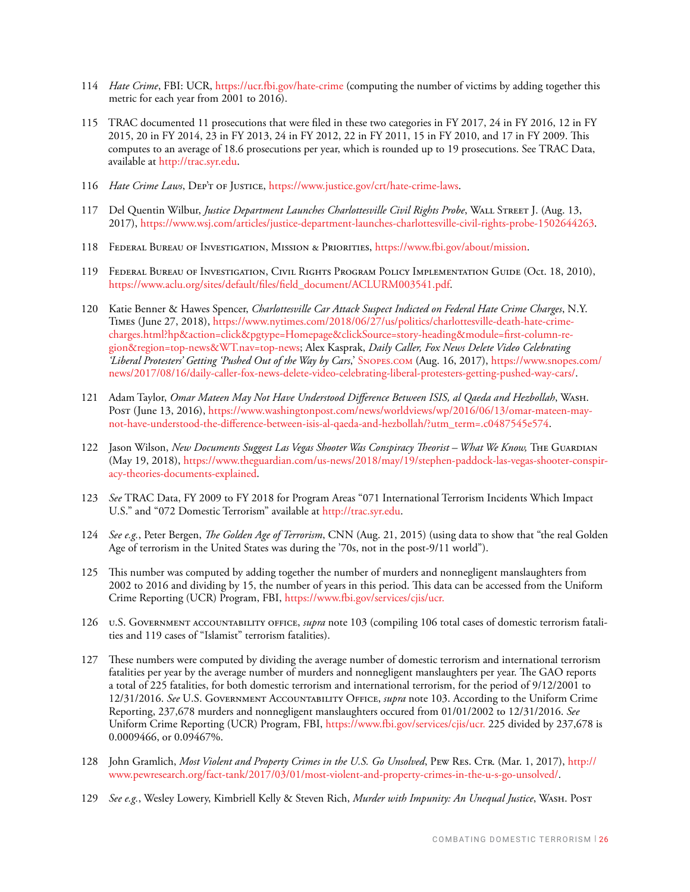- 114 *Hate Crime*, FBI: UCR,<https://ucr.fbi.gov/hate-crime>(computing the number of victims by adding together this metric for each year from 2001 to 2016).
- 115 TRAC documented 11 prosecutions that were filed in these two categories in FY 2017, 24 in FY 2016, 12 in FY 2015, 20 in FY 2014, 23 in FY 2013, 24 in FY 2012, 22 in FY 2011, 15 in FY 2010, and 17 in FY 2009. This computes to an average of 18.6 prosecutions per year, which is rounded up to 19 prosecutions. See TRAC Data, available at<http://trac.syr.edu>.
- 116 *Hate Crime Laws*, DEP'T OF JUSTICE, [https://www.justice.gov/crt/hate-crime-laws.](https://www.justice.gov/crt/hate-crime-laws)
- 117 Del Quentin Wilbur, *Justice Department Launches Charlottesville Civil Rights Probe*, Wall Street J. (Aug. 13, 2017), <https://www.wsj.com/articles/justice-department-launches-charlottesville-civil-rights-probe-1502644263>.
- 118 Federal Bureau of Investigation, Mission & Priorities, [https://www.fbi.gov/about/mission.](https://www.fbi.gov/about/mission)
- 119 Federal Bureau of Investigation, Civil Rights Program Policy Implementation Guide (Oct. 18, 2010), [https://www.aclu.org/sites/default/files/field\\_document/ACLURM003541.pdf](https://www.aclu.org/sites/default/files/field_document/ACLURM003541.pdf).
- 120 Katie Benner & Hawes Spencer, *Charlottesville Car Attack Suspect Indicted on Federal Hate Crime Charges*, N.Y. Times (June 27, 2018), [https://www.nytimes.com/2018/06/27/us/politics/charlottesville-death-hate-crime](https://www.nytimes.com/2018/06/27/us/politics/charlottesville-death-hate-crime-charges.html?hp&action=click&pgtype=Homepage&clickSource=story-heading&module=first-column-region®ion=top-news&WT.nav=top-news)[charges.html?hp&action=click&pgtype=Homepage&clickSource=story-heading&module=first-column-re](https://www.nytimes.com/2018/06/27/us/politics/charlottesville-death-hate-crime-charges.html?hp&action=click&pgtype=Homepage&clickSource=story-heading&module=first-column-region®ion=top-news&WT.nav=top-news)[gion&region=top-news&WT.nav=top-news](https://www.nytimes.com/2018/06/27/us/politics/charlottesville-death-hate-crime-charges.html?hp&action=click&pgtype=Homepage&clickSource=story-heading&module=first-column-region®ion=top-news&WT.nav=top-news); Alex Kasprak, *Daily Caller, Fox News Delete Video Celebrating 'Liberal Protesters' Getting 'Pushed Out of the Way by Cars*,' [Snopes.com](http://Snopes.com) (Aug. 16, 2017), [https://www.snopes.com/](https://www.snopes.com/news/2017/08/16/daily-caller-fox-news-delete-video-celebrating-liberal-protesters-getting-pushed-way-cars/) [news/2017/08/16/daily-caller-fox-news-delete-video-celebrating-liberal-protesters-getting-pushed-way-cars/.](https://www.snopes.com/news/2017/08/16/daily-caller-fox-news-delete-video-celebrating-liberal-protesters-getting-pushed-way-cars/)
- 121 Adam Taylor, *Omar Mateen May Not Have Understood Difference Between ISIS, al Qaeda and Hezbollah*, Wash. Post (June 13, 2016), [https://www.washingtonpost.com/news/worldviews/wp/2016/06/13/omar-mateen-may](https://www.washingtonpost.com/news/worldviews/wp/2016/06/13/omar-mateen-may-not-have-understood-the-difference-between-isis-al-qaeda-and-hezbollah/?utm_term=.c0487545e574)[not-have-understood-the-difference-between-isis-al-qaeda-and-hezbollah/?utm\\_term=.c0487545e574](https://www.washingtonpost.com/news/worldviews/wp/2016/06/13/omar-mateen-may-not-have-understood-the-difference-between-isis-al-qaeda-and-hezbollah/?utm_term=.c0487545e574).
- 122 Jason Wilson, *New Documents Suggest Las Vegas Shooter Was Conspiracy Theorist What We Know*, THE GUARDIAN (May 19, 2018), [https://www.theguardian.com/us-news/2018/may/19/stephen-paddock-las-vegas-shooter-conspir](https://www.theguardian.com/us-news/2018/may/19/stephen-paddock-las-vegas-shooter-conspiracy-theories-documents-explained)[acy-theories-documents-explained.](https://www.theguardian.com/us-news/2018/may/19/stephen-paddock-las-vegas-shooter-conspiracy-theories-documents-explained)
- 123 *See* TRAC Data, FY 2009 to FY 2018 for Program Areas "071 International Terrorism Incidents Which Impact U.S." and "072 Domestic Terrorism" available at<http://trac.syr.edu>.
- 124 *See e.g.*, Peter Bergen, *The Golden Age of Terrorism*, CNN (Aug. 21, 2015) (using data to show that "the real Golden Age of terrorism in the United States was during the '70s, not in the post-9/11 world").
- 125 This number was computed by adding together the number of murders and nonnegligent manslaughters from 2002 to 2016 and dividing by 15, the number of years in this period. This data can be accessed from the Uniform Crime Reporting (UCR) Program, FBI, <https://www.fbi.gov/services/cjis/ucr.>
- 126 u.S. Government accountability office, *supra* note 103 (compiling 106 total cases of domestic terrorism fatalities and 119 cases of "Islamist" terrorism fatalities).
- 127 These numbers were computed by dividing the average number of domestic terrorism and international terrorism fatalities per year by the average number of murders and nonnegligent manslaughters per year. The GAO reports a total of 225 fatalities, for both domestic terrorism and international terrorism, for the period of 9/12/2001 to 12/31/2016. *See* U.S. Government Accountability Office, *supra* note 103. According to the Uniform Crime Reporting, 237,678 murders and nonnegligent manslaughters occured from 01/01/2002 to 12/31/2016. *See*  Uniform Crime Reporting (UCR) Program, FBI,<https://www.fbi.gov/services/cjis/ucr.>225 divided by 237,678 is 0.0009466, or 0.09467%.
- 128 John Gramlich, *Most Violent and Property Crimes in the U.S. Go Unsolved*, Pew Res. Ctr. (Mar. 1, 2017), [http://](http://www.pewresearch.org/fact-tank/2017/03/01/most-violent-and-property-crimes-in-the-u-s-go-unsolved/) [www.pewresearch.org/fact-tank/2017/03/01/most-violent-and-property-crimes-in-the-u-s-go-unsolved/.](http://www.pewresearch.org/fact-tank/2017/03/01/most-violent-and-property-crimes-in-the-u-s-go-unsolved/)
- 129 *See e.g.*, Wesley Lowery, Kimbriell Kelly & Steven Rich, *Murder with Impunity: An Unequal Justice*, Wash. Post